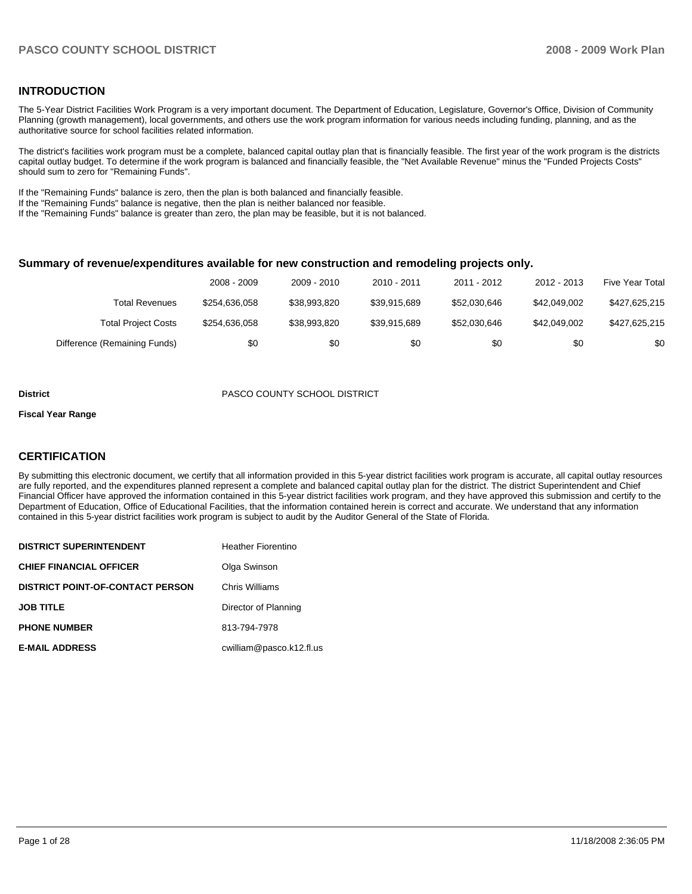### **INTRODUCTION**

The 5-Year District Facilities Work Program is a very important document. The Department of Education, Legislature, Governor's Office, Division of Community Planning (growth management), local governments, and others use the work program information for various needs including funding, planning, and as the authoritative source for school facilities related information.

The district's facilities work program must be a complete, balanced capital outlay plan that is financially feasible. The first year of the work program is the districts capital outlay budget. To determine if the work program is balanced and financially feasible, the "Net Available Revenue" minus the "Funded Projects Costs" should sum to zero for "Remaining Funds".

If the "Remaining Funds" balance is zero, then the plan is both balanced and financially feasible.

If the "Remaining Funds" balance is negative, then the plan is neither balanced nor feasible.

If the "Remaining Funds" balance is greater than zero, the plan may be feasible, but it is not balanced.

#### **Summary of revenue/expenditures available for new construction and remodeling projects only.**

|                              | 2008 - 2009   | 2009 - 2010  | $2010 - 2011$ | 2011 - 2012  | 2012 - 2013  | <b>Five Year Total</b> |
|------------------------------|---------------|--------------|---------------|--------------|--------------|------------------------|
| Total Revenues               | \$254.636.058 | \$38,993,820 | \$39.915.689  | \$52.030.646 | \$42,049,002 | \$427,625,215          |
| <b>Total Project Costs</b>   | \$254.636.058 | \$38,993,820 | \$39.915.689  | \$52,030,646 | \$42,049,002 | \$427,625,215          |
| Difference (Remaining Funds) | \$0           | \$0          | \$0           | \$0          | \$0          | \$0                    |

#### **District** PASCO COUNTY SCHOOL DISTRICT

#### **Fiscal Year Range**

#### **CERTIFICATION**

By submitting this electronic document, we certify that all information provided in this 5-year district facilities work program is accurate, all capital outlay resources are fully reported, and the expenditures planned represent a complete and balanced capital outlay plan for the district. The district Superintendent and Chief Financial Officer have approved the information contained in this 5-year district facilities work program, and they have approved this submission and certify to the Department of Education, Office of Educational Facilities, that the information contained herein is correct and accurate. We understand that any information contained in this 5-year district facilities work program is subject to audit by the Auditor General of the State of Florida.

| <b>DISTRICT SUPERINTENDENT</b>          | <b>Heather Fiorentino</b> |
|-----------------------------------------|---------------------------|
| <b>CHIEF FINANCIAL OFFICER</b>          | Olga Swinson              |
| <b>DISTRICT POINT-OF-CONTACT PERSON</b> | Chris Williams            |
| <b>JOB TITLE</b>                        | Director of Planning      |
| <b>PHONE NUMBER</b>                     | 813-794-7978              |
| <b>E-MAIL ADDRESS</b>                   | cwilliam@pasco.k12.fl.us  |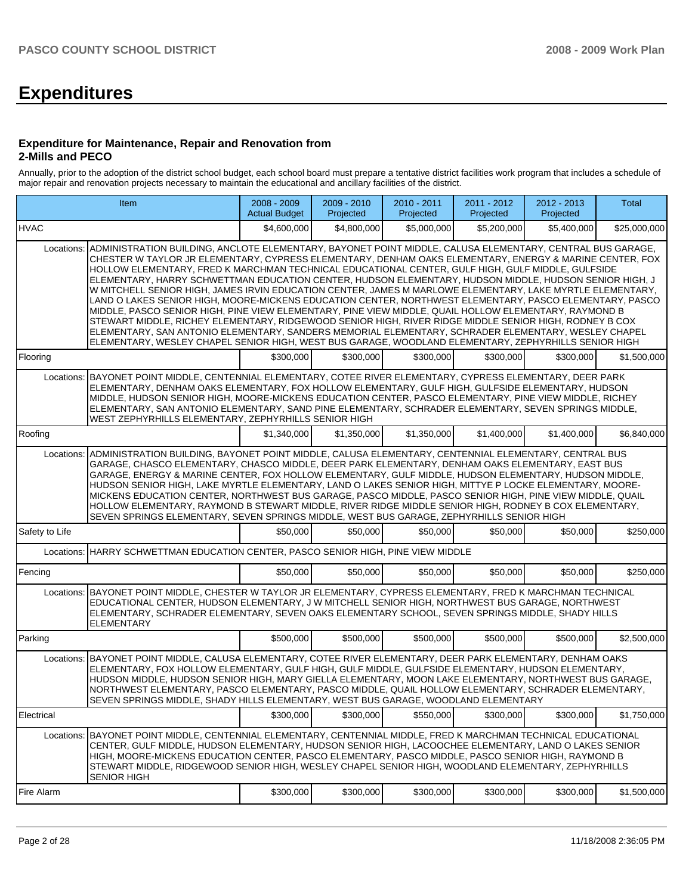# **Expenditures**

#### **Expenditure for Maintenance, Repair and Renovation from 2-Mills and PECO**

Annually, prior to the adoption of the district school budget, each school board must prepare a tentative district facilities work program that includes a schedule of major repair and renovation projects necessary to maintain the educational and ancillary facilities of the district.

|                | Item                                                                                                                                                                                                                                                                                                                                                                                                                                                                                                                                                                                                                                                                                                                                                                                                                                                                                                                                                                                                                                                                                                     | 2008 - 2009<br><b>Actual Budget</b> | 2009 - 2010<br>Projected | 2010 - 2011<br>Projected | 2011 - 2012<br>Projected | 2012 - 2013<br>Projected | <b>Total</b> |
|----------------|----------------------------------------------------------------------------------------------------------------------------------------------------------------------------------------------------------------------------------------------------------------------------------------------------------------------------------------------------------------------------------------------------------------------------------------------------------------------------------------------------------------------------------------------------------------------------------------------------------------------------------------------------------------------------------------------------------------------------------------------------------------------------------------------------------------------------------------------------------------------------------------------------------------------------------------------------------------------------------------------------------------------------------------------------------------------------------------------------------|-------------------------------------|--------------------------|--------------------------|--------------------------|--------------------------|--------------|
| <b>HVAC</b>    |                                                                                                                                                                                                                                                                                                                                                                                                                                                                                                                                                                                                                                                                                                                                                                                                                                                                                                                                                                                                                                                                                                          | \$4,600,000                         | \$4,800,000              | \$5,000,000              | \$5,200,000              | \$5,400,000              | \$25,000,000 |
|                | Locations: ADMINISTRATION BUILDING, ANCLOTE ELEMENTARY, BAYONET POINT MIDDLE, CALUSA ELEMENTARY, CENTRAL BUS GARAGE,<br>CHESTER W TAYLOR JR ELEMENTARY, CYPRESS ELEMENTARY, DENHAM OAKS ELEMENTARY, ENERGY & MARINE CENTER, FOX<br>HOLLOW ELEMENTARY, FRED K MARCHMAN TECHNICAL EDUCATIONAL CENTER, GULF HIGH, GULF MIDDLE, GULFSIDE<br>ELEMENTARY, HARRY SCHWETTMAN EDUCATION CENTER, HUDSON ELEMENTARY, HUDSON MIDDLE, HUDSON SENIOR HIGH, J<br>W MITCHELL SENIOR HIGH, JAMES IRVIN EDUCATION CENTER, JAMES M MARLOWE ELEMENTARY, LAKE MYRTLE ELEMENTARY,<br>LAND O LAKES SENIOR HIGH, MOORE-MICKENS EDUCATION CENTER, NORTHWEST ELEMENTARY, PASCO ELEMENTARY, PASCO<br>MIDDLE, PASCO SENIOR HIGH, PINE VIEW ELEMENTARY, PINE VIEW MIDDLE, QUAIL HOLLOW ELEMENTARY, RAYMOND B<br>STEWART MIDDLE, RICHEY ELEMENTARY, RIDGEWOOD SENIOR HIGH, RIVER RIDGE MIDDLE SENIOR HIGH, RODNEY B COX<br>ELEMENTARY, SAN ANTONIO ELEMENTARY, SANDERS MEMORIAL ELEMENTARY, SCHRADER ELEMENTARY, WESLEY CHAPEL<br>ELEMENTARY, WESLEY CHAPEL SENIOR HIGH, WEST BUS GARAGE, WOODLAND ELEMENTARY, ZEPHYRHILLS SENIOR HIGH |                                     |                          |                          |                          |                          |              |
| Flooring       |                                                                                                                                                                                                                                                                                                                                                                                                                                                                                                                                                                                                                                                                                                                                                                                                                                                                                                                                                                                                                                                                                                          | \$300,000                           | \$300,000                | \$300,000                | \$300,000                | \$300,000                | \$1,500,000  |
|                | Locations: BAYONET POINT MIDDLE, CENTENNIAL ELEMENTARY, COTEE RIVER ELEMENTARY, CYPRESS ELEMENTARY, DEER PARK<br>ELEMENTARY, DENHAM OAKS ELEMENTARY, FOX HOLLOW ELEMENTARY, GULF HIGH, GULFSIDE ELEMENTARY, HUDSON<br>MIDDLE, HUDSON SENIOR HIGH, MOORE-MICKENS EDUCATION CENTER, PASCO ELEMENTARY, PINE VIEW MIDDLE, RICHEY<br>ELEMENTARY, SAN ANTONIO ELEMENTARY, SAND PINE ELEMENTARY, SCHRADER ELEMENTARY, SEVEN SPRINGS MIDDLE,<br>WEST ZEPHYRHILLS ELEMENTARY, ZEPHYRHILLS SENIOR HIGH                                                                                                                                                                                                                                                                                                                                                                                                                                                                                                                                                                                                             |                                     |                          |                          |                          |                          |              |
| Roofing        |                                                                                                                                                                                                                                                                                                                                                                                                                                                                                                                                                                                                                                                                                                                                                                                                                                                                                                                                                                                                                                                                                                          | \$1,340,000                         | \$1,350,000              | \$1,350,000              | \$1,400,000              | \$1,400,000              | \$6,840,000  |
| Locations:     | ADMINISTRATION BUILDING, BAYONET POINT MIDDLE, CALUSA ELEMENTARY, CENTENNIAL ELEMENTARY, CENTRAL BUS<br>GARAGE, CHASCO ELEMENTARY, CHASCO MIDDLE, DEER PARK ELEMENTARY, DENHAM OAKS ELEMENTARY, EAST BUS<br>GARAGE, ENERGY & MARINE CENTER, FOX HOLLOW ELEMENTARY, GULF MIDDLE, HUDSON ELEMENTARY, HUDSON MIDDLE,<br>HUDSON SENIOR HIGH, LAKE MYRTLE ELEMENTARY, LAND O LAKES SENIOR HIGH, MITTYE P LOCKE ELEMENTARY, MOORE-<br>MICKENS EDUCATION CENTER, NORTHWEST BUS GARAGE, PASCO MIDDLE, PASCO SENIOR HIGH, PINE VIEW MIDDLE, QUAIL<br>HOLLOW ELEMENTARY, RAYMOND B STEWART MIDDLE, RIVER RIDGE MIDDLE SENIOR HIGH, RODNEY B COX ELEMENTARY,<br>SEVEN SPRINGS ELEMENTARY, SEVEN SPRINGS MIDDLE, WEST BUS GARAGE, ZEPHYRHILLS SENIOR HIGH                                                                                                                                                                                                                                                                                                                                                            |                                     |                          |                          |                          |                          |              |
| Safety to Life |                                                                                                                                                                                                                                                                                                                                                                                                                                                                                                                                                                                                                                                                                                                                                                                                                                                                                                                                                                                                                                                                                                          | \$50,000                            | \$50,000                 | \$50,000                 | \$50,000                 | \$50,000                 | \$250,000    |
|                | Locations: HARRY SCHWETTMAN EDUCATION CENTER, PASCO SENIOR HIGH, PINE VIEW MIDDLE                                                                                                                                                                                                                                                                                                                                                                                                                                                                                                                                                                                                                                                                                                                                                                                                                                                                                                                                                                                                                        |                                     |                          |                          |                          |                          |              |
| Fencing        |                                                                                                                                                                                                                                                                                                                                                                                                                                                                                                                                                                                                                                                                                                                                                                                                                                                                                                                                                                                                                                                                                                          | \$50,000                            | \$50,000                 | \$50,000                 | \$50,000                 | \$50,000                 | \$250,000    |
|                | Locations: BAYONET POINT MIDDLE, CHESTER W TAYLOR JR ELEMENTARY, CYPRESS ELEMENTARY, FRED K MARCHMAN TECHNICAL<br>EDUCATIONAL CENTER, HUDSON ELEMENTARY, J W MITCHELL SENIOR HIGH, NORTHWEST BUS GARAGE, NORTHWEST<br>ELEMENTARY, SCHRADER ELEMENTARY, SEVEN OAKS ELEMENTARY SCHOOL, SEVEN SPRINGS MIDDLE, SHADY HILLS<br><b>ELEMENTARY</b>                                                                                                                                                                                                                                                                                                                                                                                                                                                                                                                                                                                                                                                                                                                                                              |                                     |                          |                          |                          |                          |              |
| Parking        |                                                                                                                                                                                                                                                                                                                                                                                                                                                                                                                                                                                                                                                                                                                                                                                                                                                                                                                                                                                                                                                                                                          | \$500,000                           | \$500,000                | \$500,000                | \$500,000                | \$500,000                | \$2,500,000  |
|                | Locations: BAYONET POINT MIDDLE, CALUSA ELEMENTARY, COTEE RIVER ELEMENTARY, DEER PARK ELEMENTARY, DENHAM OAKS<br>ELEMENTARY, FOX HOLLOW ELEMENTARY, GULF HIGH, GULF MIDDLE, GULFSIDE ELEMENTARY, HUDSON ELEMENTARY,<br>HUDSON MIDDLE, HUDSON SENIOR HIGH, MARY GIELLA ELEMENTARY, MOON LAKE ELEMENTARY, NORTHWEST BUS GARAGE,<br>NORTHWEST ELEMENTARY, PASCO ELEMENTARY, PASCO MIDDLE, QUAIL HOLLOW ELEMENTARY, SCHRADER ELEMENTARY,<br>SEVEN SPRINGS MIDDLE, SHADY HILLS ELEMENTARY, WEST BUS GARAGE, WOODLAND ELEMENTARY                                                                                                                                                                                                                                                                                                                                                                                                                                                                                                                                                                               |                                     |                          |                          |                          |                          |              |
| Electrical     |                                                                                                                                                                                                                                                                                                                                                                                                                                                                                                                                                                                                                                                                                                                                                                                                                                                                                                                                                                                                                                                                                                          | \$300,000                           | \$300,000                | \$550,000                | \$300,000                | \$300,000                | \$1,750,000  |
|                | Locations: BAYONET POINT MIDDLE, CENTENNIAL ELEMENTARY, CENTENNIAL MIDDLE, FRED K MARCHMAN TECHNICAL EDUCATIONAL<br>CENTER, GULF MIDDLE, HUDSON ELEMENTARY, HUDSON SENIOR HIGH, LACOOCHEE ELEMENTARY, LAND O LAKES SENIOR<br>HIGH, MOORE-MICKENS EDUCATION CENTER, PASCO ELEMENTARY, PASCO MIDDLE, PASCO SENIOR HIGH, RAYMOND B<br>STEWART MIDDLE, RIDGEWOOD SENIOR HIGH, WESLEY CHAPEL SENIOR HIGH, WOODLAND ELEMENTARY, ZEPHYRHILLS<br><b>SENIOR HIGH</b>                                                                                                                                                                                                                                                                                                                                                                                                                                                                                                                                                                                                                                              |                                     |                          |                          |                          |                          |              |
| Fire Alarm     |                                                                                                                                                                                                                                                                                                                                                                                                                                                                                                                                                                                                                                                                                                                                                                                                                                                                                                                                                                                                                                                                                                          | \$300,000                           | \$300,000                | \$300,000                | \$300,000                | \$300,000                | \$1,500,000  |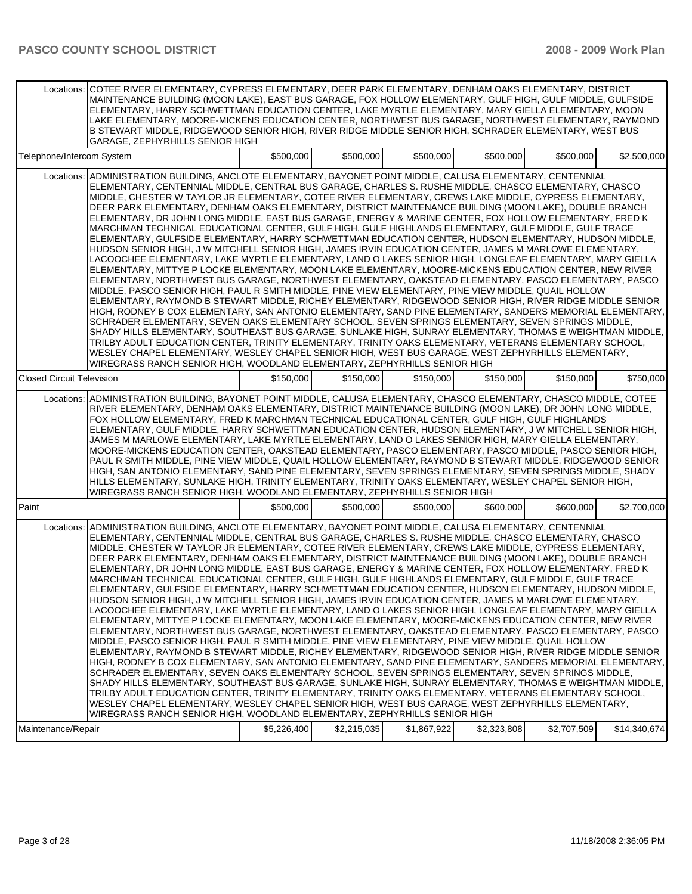|                                  | Locations: COTEE RIVER ELEMENTARY, CYPRESS ELEMENTARY, DEER PARK ELEMENTARY, DENHAM OAKS ELEMENTARY, DISTRICT<br>MAINTENANCE BUILDING (MOON LAKE), EAST BUS GARAGE, FOX HOLLOW ELEMENTARY, GULF HIGH, GULF MIDDLE, GULFSIDE<br>ELEMENTARY, HARRY SCHWETTMAN EDUCATION CENTER, LAKE MYRTLE ELEMENTARY, MARY GIELLA ELEMENTARY, MOON<br>LAKE ELEMENTARY, MOORE-MICKENS EDUCATION CENTER, NORTHWEST BUS GARAGE, NORTHWEST ELEMENTARY, RAYMOND<br>B STEWART MIDDLE, RIDGEWOOD SENIOR HIGH, RIVER RIDGE MIDDLE SENIOR HIGH, SCHRADER ELEMENTARY, WEST BUS<br>GARAGE, ZEPHYRHILLS SENIOR HIGH                                                                                                                                                                                                                                                                                                                                                                                                                                                                                                                                                                                                                                                                                                                                                                                                                                                                                                                                                                                                                                                                                                                                                                                                                                                                                                                                                                                                                                                                            |             |             |             |             |             |              |
|----------------------------------|--------------------------------------------------------------------------------------------------------------------------------------------------------------------------------------------------------------------------------------------------------------------------------------------------------------------------------------------------------------------------------------------------------------------------------------------------------------------------------------------------------------------------------------------------------------------------------------------------------------------------------------------------------------------------------------------------------------------------------------------------------------------------------------------------------------------------------------------------------------------------------------------------------------------------------------------------------------------------------------------------------------------------------------------------------------------------------------------------------------------------------------------------------------------------------------------------------------------------------------------------------------------------------------------------------------------------------------------------------------------------------------------------------------------------------------------------------------------------------------------------------------------------------------------------------------------------------------------------------------------------------------------------------------------------------------------------------------------------------------------------------------------------------------------------------------------------------------------------------------------------------------------------------------------------------------------------------------------------------------------------------------------------------------------------------------------|-------------|-------------|-------------|-------------|-------------|--------------|
| Telephone/Intercom System        |                                                                                                                                                                                                                                                                                                                                                                                                                                                                                                                                                                                                                                                                                                                                                                                                                                                                                                                                                                                                                                                                                                                                                                                                                                                                                                                                                                                                                                                                                                                                                                                                                                                                                                                                                                                                                                                                                                                                                                                                                                                                    | \$500,000   | \$500,000   | \$500,000   | \$500,000   | \$500,000   | \$2,500,000  |
| Locations:                       | ADMINISTRATION BUILDING, ANCLOTE ELEMENTARY, BAYONET POINT MIDDLE, CALUSA ELEMENTARY, CENTENNIAL<br>ELEMENTARY, CENTENNIAL MIDDLE, CENTRAL BUS GARAGE, CHARLES S. RUSHE MIDDLE, CHASCO ELEMENTARY, CHASCO<br>MIDDLE, CHESTER W TAYLOR JR ELEMENTARY, COTEE RIVER ELEMENTARY, CREWS LAKE MIDDLE, CYPRESS ELEMENTARY,<br>DEER PARK ELEMENTARY, DENHAM OAKS ELEMENTARY, DISTRICT MAINTENANCE BUILDING (MOON LAKE), DOUBLE BRANCH<br>ELEMENTARY, DR JOHN LONG MIDDLE, EAST BUS GARAGE, ENERGY & MARINE CENTER, FOX HOLLOW ELEMENTARY, FRED K<br>MARCHMAN TECHNICAL EDUCATIONAL CENTER, GULF HIGH, GULF HIGHLANDS ELEMENTARY, GULF MIDDLE, GULF TRACE<br>ELEMENTARY, GULFSIDE ELEMENTARY, HARRY SCHWETTMAN EDUCATION CENTER, HUDSON ELEMENTARY, HUDSON MIDDLE,<br>HUDSON SENIOR HIGH, J W MITCHELL SENIOR HIGH, JAMES IRVIN EDUCATION CENTER, JAMES M MARLOWE ELEMENTARY,<br>LACOOCHEE ELEMENTARY, LAKE MYRTLE ELEMENTARY, LAND O LAKES SENIOR HIGH, LONGLEAF ELEMENTARY, MARY GIELLA<br>ELEMENTARY, MITTYE P LOCKE ELEMENTARY, MOON LAKE ELEMENTARY, MOORE-MICKENS EDUCATION CENTER, NEW RIVER<br>ELEMENTARY, NORTHWEST BUS GARAGE, NORTHWEST ELEMENTARY, OAKSTEAD ELEMENTARY, PASCO ELEMENTARY, PASCO<br>MIDDLE, PASCO SENIOR HIGH, PAUL R SMITH MIDDLE, PINE VIEW ELEMENTARY, PINE VIEW MIDDLE, QUAIL HOLLOW<br>ELEMENTARY, RAYMOND B STEWART MIDDLE, RICHEY ELEMENTARY, RIDGEWOOD SENIOR HIGH, RIVER RIDGE MIDDLE SENIOR<br>HIGH, RODNEY B COX ELEMENTARY, SAN ANTONIO ELEMENTARY, SAND PINE ELEMENTARY, SANDERS MEMORIAL ELEMENTARY,<br>SCHRADER ELEMENTARY, SEVEN OAKS ELEMENTARY SCHOOL, SEVEN SPRINGS ELEMENTARY, SEVEN SPRINGS MIDDLE,<br>SHADY HILLS ELEMENTARY, SOUTHEAST BUS GARAGE, SUNLAKE HIGH, SUNRAY ELEMENTARY, THOMAS E WEIGHTMAN MIDDLE.<br>TRILBY ADULT EDUCATION CENTER, TRINITY ELEMENTARY, TRINITY OAKS ELEMENTARY, VETERANS ELEMENTARY SCHOOL,<br>WESLEY CHAPEL ELEMENTARY, WESLEY CHAPEL SENIOR HIGH, WEST BUS GARAGE, WEST ZEPHYRHILLS ELEMENTARY,<br>WIREGRASS RANCH SENIOR HIGH, WOODLAND ELEMENTARY, ZEPHYRHILLS SENIOR HIGH              |             |             |             |             |             |              |
| <b>Closed Circuit Television</b> |                                                                                                                                                                                                                                                                                                                                                                                                                                                                                                                                                                                                                                                                                                                                                                                                                                                                                                                                                                                                                                                                                                                                                                                                                                                                                                                                                                                                                                                                                                                                                                                                                                                                                                                                                                                                                                                                                                                                                                                                                                                                    | \$150,000   | \$150,000   | \$150,000   | \$150,000   | \$150,000   | \$750,000    |
|                                  | Locations: ADMINISTRATION BUILDING, BAYONET POINT MIDDLE, CALUSA ELEMENTARY, CHASCO ELEMENTARY, CHASCO MIDDLE, COTEE<br>RIVER ELEMENTARY, DENHAM OAKS ELEMENTARY, DISTRICT MAINTENANCE BUILDING (MOON LAKE), DR JOHN LONG MIDDLE,<br>FOX HOLLOW ELEMENTARY, FRED K MARCHMAN TECHNICAL EDUCATIONAL CENTER, GULF HIGH, GULF HIGHLANDS<br>ELEMENTARY, GULF MIDDLE, HARRY SCHWETTMAN EDUCATION CENTER, HUDSON ELEMENTARY, J W MITCHELL SENIOR HIGH,<br>JAMES M MARLOWE ELEMENTARY, LAKE MYRTLE ELEMENTARY, LAND O LAKES SENIOR HIGH, MARY GIELLA ELEMENTARY,<br>MOORE-MICKENS EDUCATION CENTER, OAKSTEAD ELEMENTARY, PASCO ELEMENTARY, PASCO MIDDLE, PASCO SENIOR HIGH,<br>PAUL R SMITH MIDDLE, PINE VIEW MIDDLE, QUAIL HOLLOW ELEMENTARY, RAYMOND B STEWART MIDDLE, RIDGEWOOD SENIOR<br>HIGH, SAN ANTONIO ELEMENTARY, SAND PINE ELEMENTARY, SEVEN SPRINGS ELEMENTARY, SEVEN SPRINGS MIDDLE, SHADY<br>HILLS ELEMENTARY, SUNLAKE HIGH, TRINITY ELEMENTARY, TRINITY OAKS ELEMENTARY, WESLEY CHAPEL SENIOR HIGH,<br>WIREGRASS RANCH SENIOR HIGH, WOODLAND ELEMENTARY, ZEPHYRHILLS SENIOR HIGH                                                                                                                                                                                                                                                                                                                                                                                                                                                                                                                                                                                                                                                                                                                                                                                                                                                                                                                                                                             |             |             |             |             |             |              |
| Paint                            |                                                                                                                                                                                                                                                                                                                                                                                                                                                                                                                                                                                                                                                                                                                                                                                                                                                                                                                                                                                                                                                                                                                                                                                                                                                                                                                                                                                                                                                                                                                                                                                                                                                                                                                                                                                                                                                                                                                                                                                                                                                                    | \$500,000   | \$500,000   | \$500,000   | \$600,000   | \$600,000   | \$2,700,000  |
|                                  | Locations: ADMINISTRATION BUILDING, ANCLOTE ELEMENTARY, BAYONET POINT MIDDLE, CALUSA ELEMENTARY, CENTENNIAL<br>ELEMENTARY, CENTENNIAL MIDDLE, CENTRAL BUS GARAGE, CHARLES S. RUSHE MIDDLE, CHASCO ELEMENTARY, CHASCO<br>MIDDLE, CHESTER W TAYLOR JR ELEMENTARY, COTEE RIVER ELEMENTARY, CREWS LAKE MIDDLE, CYPRESS ELEMENTARY,<br>DEER PARK ELEMENTARY, DENHAM OAKS ELEMENTARY, DISTRICT MAINTENANCE BUILDING (MOON LAKE), DOUBLE BRANCH<br>ELEMENTARY, DR JOHN LONG MIDDLE, EAST BUS GARAGE, ENERGY & MARINE CENTER, FOX HOLLOW ELEMENTARY, FRED K<br>MARCHMAN TECHNICAL EDUCATIONAL CENTER, GULF HIGH, GULF HIGHLANDS ELEMENTARY, GULF MIDDLE, GULF TRACE<br>ELEMENTARY, GULFSIDE ELEMENTARY, HARRY SCHWETTMAN EDUCATION CENTER, HUDSON ELEMENTARY, HUDSON MIDDLE,<br>HUDSON SENIOR HIGH, J W MITCHELL SENIOR HIGH, JAMES IRVIN EDUCATION CENTER, JAMES M MARLOWE ELEMENTARY,<br>LACOOCHEE ELEMENTARY, LAKE MYRTLE ELEMENTARY, LAND O LAKES SENIOR HIGH, LONGLEAF ELEMENTARY, MARY GIELLA<br>ELEMENTARY, MITTYE P LOCKE ELEMENTARY, MOON LAKE ELEMENTARY, MOORE-MICKENS EDUCATION CENTER, NEW RIVER<br>ELEMENTARY, NORTHWEST BUS GARAGE, NORTHWEST ELEMENTARY, OAKSTEAD ELEMENTARY, PASCO ELEMENTARY, PASCO<br>MIDDLE, PASCO SENIOR HIGH, PAUL R SMITH MIDDLE, PINE VIEW ELEMENTARY, PINE VIEW MIDDLE, QUAIL HOLLOW<br>ELEMENTARY, RAYMOND B STEWART MIDDLE, RICHEY ELEMENTARY, RIDGEWOOD SENIOR HIGH, RIVER RIDGE MIDDLE SENIOR<br>HIGH, RODNEY B COX ELEMENTARY, SAN ANTONIO ELEMENTARY, SAND PINE ELEMENTARY, SANDERS MEMORIAL ELEMENTARY,  <br>SCHRADER ELEMENTARY, SEVEN OAKS ELEMENTARY SCHOOL, SEVEN SPRINGS ELEMENTARY, SEVEN SPRINGS MIDDLE,<br>SHADY HILLS ELEMENTARY, SOUTHEAST BUS GARAGE, SUNLAKE HIGH, SUNRAY ELEMENTARY, THOMAS E WEIGHTMAN MIDDLE,<br>TRILBY ADULT EDUCATION CENTER, TRINITY ELEMENTARY, TRINITY OAKS ELEMENTARY, VETERANS ELEMENTARY SCHOOL,<br>WESLEY CHAPEL ELEMENTARY, WESLEY CHAPEL SENIOR HIGH, WEST BUS GARAGE, WEST ZEPHYRHILLS ELEMENTARY,<br>WIREGRASS RANCH SENIOR HIGH, WOODLAND ELEMENTARY, ZEPHYRHILLS SENIOR HIGH |             |             |             |             |             |              |
| Maintenance/Repair               |                                                                                                                                                                                                                                                                                                                                                                                                                                                                                                                                                                                                                                                                                                                                                                                                                                                                                                                                                                                                                                                                                                                                                                                                                                                                                                                                                                                                                                                                                                                                                                                                                                                                                                                                                                                                                                                                                                                                                                                                                                                                    | \$5,226,400 | \$2,215,035 | \$1,867,922 | \$2,323,808 | \$2,707,509 | \$14,340,674 |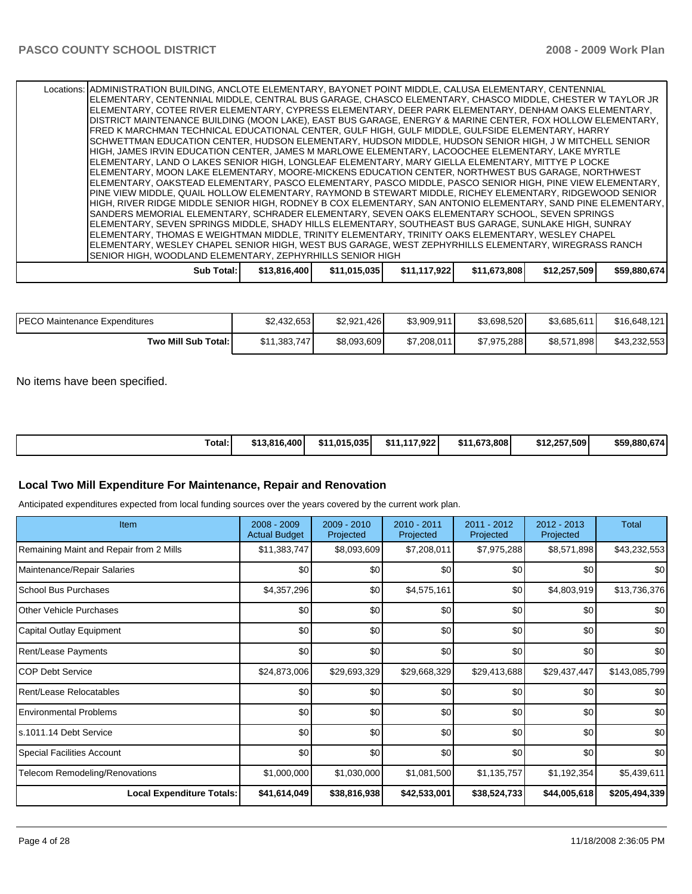| Sub Total: I                                                                                                                                                                                                        | \$13,816,400 | \$11,015,035 | \$11,117,922 | \$11,673,808 | \$12,257,509 | \$59,880,674 |
|---------------------------------------------------------------------------------------------------------------------------------------------------------------------------------------------------------------------|--------------|--------------|--------------|--------------|--------------|--------------|
| <b>SENIOR HIGH, WOODLAND ELEMENTARY, ZEPHYRHILLS SENIOR HIGH</b>                                                                                                                                                    |              |              |              |              |              |              |
| ELEMENTARY, THOMAS E WEIGHTMAN MIDDLE, TRINITY ELEMENTARY, TRINITY OAKS ELEMENTARY, WESLEY CHAPEL<br>ELEMENTARY, WESLEY CHAPEL SENIOR HIGH, WEST BUS GARAGE, WEST ZEPHYRHILLS ELEMENTARY, WIREGRASS RANCH           |              |              |              |              |              |              |
| ELEMENTARY, SEVEN SPRINGS MIDDLE, SHADY HILLS ELEMENTARY, SOUTHEAST BUS GARAGE, SUNLAKE HIGH, SUNRAY                                                                                                                |              |              |              |              |              |              |
| SANDERS MEMORIAL ELEMENTARY, SCHRADER ELEMENTARY, SEVEN OAKS ELEMENTARY SCHOOL, SEVEN SPRINGS                                                                                                                       |              |              |              |              |              |              |
| HIGH, RIVER RIDGE MIDDLE SENIOR HIGH, RODNEY B COX ELEMENTARY, SAN ANTONIO ELEMENTARY, SAND PINE ELEMENTARY,                                                                                                        |              |              |              |              |              |              |
| IPINE VIEW MIDDLE. QUAIL HOLLOW ELEMENTARY. RAYMOND B STEWART MIDDLE. RICHEY ELEMENTARY. RIDGEWOOD SENIOR                                                                                                           |              |              |              |              |              |              |
| ELEMENTARY, OAKSTEAD ELEMENTARY, PASCO ELEMENTARY, PASCO MIDDLE, PASCO SENIOR HIGH, PINE VIEW ELEMENTARY,                                                                                                           |              |              |              |              |              |              |
| IELEMENTARY. MOON LAKE ELEMENTARY. MOORE-MICKENS EDUCATION CENTER. NORTHWEST BUS GARAGE. NORTHWEST                                                                                                                  |              |              |              |              |              |              |
| ELEMENTARY, LAND O LAKES SENIOR HIGH, LONGLEAF ELEMENTARY, MARY GIELLA ELEMENTARY, MITTYE P LOCKE                                                                                                                   |              |              |              |              |              |              |
| HIGH, JAMES IRVIN EDUCATION CENTER, JAMES M MARLOWE ELEMENTARY, LACOOCHEE ELEMENTARY, LAKE MYRTLE                                                                                                                   |              |              |              |              |              |              |
| SCHWETTMAN EDUCATION CENTER, HUDSON ELEMENTARY, HUDSON MIDDLE, HUDSON SENIOR HIGH, J W MITCHELL SENIOR                                                                                                              |              |              |              |              |              |              |
| IFRED K MARCHMAN TECHNICAL EDUCATIONAL CENTER. GULF HIGH. GULF MIDDLE. GULFSIDE ELEMENTARY. HARRY                                                                                                                   |              |              |              |              |              |              |
| DISTRICT MAINTENANCE BUILDING (MOON LAKE), EAST BUS GARAGE, ENERGY & MARINE CENTER, FOX HOLLOW ELEMENTARY,                                                                                                          |              |              |              |              |              |              |
| IELEMENTARY, CENTENNIAL MIDDLE, CENTRAL BUS GARAGE, CHASCO ELEMENTARY, CHASCO MIDDLE, CHESTER W TAYLOR JR<br>IELEMENTARY. COTEE RIVER ELEMENTARY. CYPRESS ELEMENTARY. DEER PARK ELEMENTARY. DENHAM OAKS ELEMENTARY. |              |              |              |              |              |              |
| Locations: ADMINISTRATION BUILDING, ANCLOTE ELEMENTARY, BAYONET POINT MIDDLE, CALUSA ELEMENTARY, CENTENNIAL                                                                                                         |              |              |              |              |              |              |
|                                                                                                                                                                                                                     |              |              |              |              |              |              |

| <b>PECO Maintenance Expenditures</b> | \$2,432,653  | .426<br>\$2.921. | \$3,909,911 | \$3,698,520 | \$3,685,611        | \$16.648.121 |
|--------------------------------------|--------------|------------------|-------------|-------------|--------------------|--------------|
| Two Mill Sub Total:                  | \$11,383,747 | \$8,093,609      | \$7,208,011 | \$7,975,288 | \$8,571<br>ا 898.، | \$43,232,553 |

No items have been specified.

| Total: | \$13,816,400 | \$11.015.035 | 117.922<br>\$11.1 | \$11.673.808 | \$12,257,509 | \$59,880,674 |
|--------|--------------|--------------|-------------------|--------------|--------------|--------------|
|--------|--------------|--------------|-------------------|--------------|--------------|--------------|

### **Local Two Mill Expenditure For Maintenance, Repair and Renovation**

Anticipated expenditures expected from local funding sources over the years covered by the current work plan.

| Item                                    | 2008 - 2009<br><b>Actual Budget</b> | $2009 - 2010$<br>Projected | 2010 - 2011<br>Projected | 2011 - 2012<br>Projected | $2012 - 2013$<br>Projected | Total            |
|-----------------------------------------|-------------------------------------|----------------------------|--------------------------|--------------------------|----------------------------|------------------|
| Remaining Maint and Repair from 2 Mills | \$11,383,747                        | \$8,093,609                | \$7,208,011              | \$7,975,288              | \$8,571,898                | \$43,232,553     |
| Maintenance/Repair Salaries             | \$0                                 | \$0                        | \$0                      | \$0                      | \$0                        | \$0 <sub>1</sub> |
| School Bus Purchases                    | \$4,357,296                         | \$0                        | \$4,575,161              | \$0                      | \$4,803,919                | \$13,736,376     |
| <b>Other Vehicle Purchases</b>          | \$0                                 | \$0                        | \$0                      | \$0                      | \$0                        | \$0              |
| Capital Outlay Equipment                | \$0                                 | \$0                        | \$0                      | \$0                      | \$0                        | \$0              |
| Rent/Lease Payments                     | \$0                                 | \$0                        | \$0                      | \$0                      | \$0                        | \$0 <sub>1</sub> |
| ICOP Debt Service                       | \$24,873,006                        | \$29,693,329               | \$29,668,329             | \$29,413,688             | \$29,437,447               | \$143,085,799    |
| Rent/Lease Relocatables                 | \$0                                 | \$0                        | \$0                      | \$0                      | \$0                        | \$0              |
| l Environmental Problems                | \$0                                 | \$0                        | \$0                      | \$0                      | \$0                        | \$0 <sub>1</sub> |
| s.1011.14 Debt Service                  | \$0                                 | \$0                        | \$0                      | \$0                      | \$0                        | \$0              |
| Special Facilities Account              | \$0                                 | \$0                        | \$0                      | \$0                      | \$0                        | \$0 <sub>1</sub> |
| Telecom Remodeling/Renovations          | \$1,000,000                         | \$1,030,000                | \$1,081,500              | \$1,135,757              | \$1,192,354                | \$5,439,611      |
| <b>Local Expenditure Totals:</b>        | \$41,614,049                        | \$38,816,938               | \$42,533,001             | \$38,524,733             | \$44,005,618               | \$205,494,339    |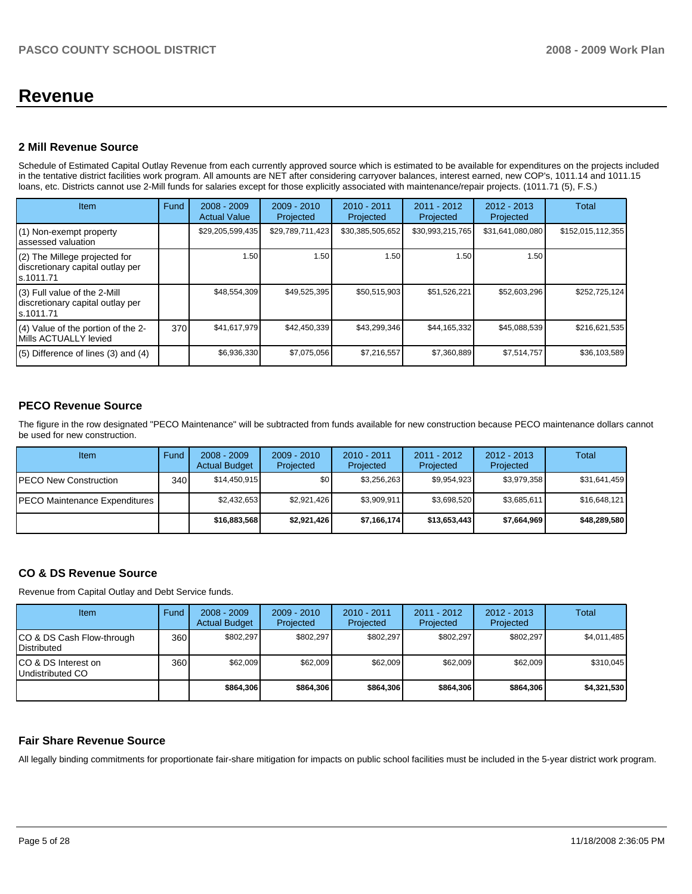# **Revenue**

#### **2 Mill Revenue Source**

Schedule of Estimated Capital Outlay Revenue from each currently approved source which is estimated to be available for expenditures on the projects included in the tentative district facilities work program. All amounts are NET after considering carryover balances, interest earned, new COP's, 1011.14 and 1011.15 loans, etc. Districts cannot use 2-Mill funds for salaries except for those explicitly associated with maintenance/repair projects. (1011.71 (5), F.S.)

| <b>Item</b>                                                                      | Fund | $2008 - 2009$<br><b>Actual Value</b> | $2009 - 2010$<br>Projected | $2010 - 2011$<br>Projected | $2011 - 2012$<br>Projected | $2012 - 2013$<br>Projected | <b>Total</b>      |
|----------------------------------------------------------------------------------|------|--------------------------------------|----------------------------|----------------------------|----------------------------|----------------------------|-------------------|
| (1) Non-exempt property<br>lassessed valuation                                   |      | \$29,205,599,435                     | \$29,789,711,423           | \$30,385,505,652           | \$30,993,215,765           | \$31,641,080,080           | \$152,015,112,355 |
| (2) The Millege projected for<br>discretionary capital outlay per<br>ls.1011.71  |      | 1.50                                 | 1.50                       | 1.50                       | 1.50                       | 1.50                       |                   |
| $(3)$ Full value of the 2-Mill<br>discretionary capital outlay per<br>ls.1011.71 |      | \$48.554.309                         | \$49,525,395               | \$50,515,903               | \$51,526,221               | \$52,603,296               | \$252,725,124     |
| $(4)$ Value of the portion of the 2-<br>Mills ACTUALLY levied                    | 370  | \$41,617,979                         | \$42.450.339               | \$43,299,346               | \$44,165,332               | \$45,088,539               | \$216,621,535     |
| $(5)$ Difference of lines $(3)$ and $(4)$                                        |      | \$6,936,330                          | \$7,075,056                | \$7,216,557                | \$7,360,889                | \$7,514,757                | \$36,103,589      |

## **PECO Revenue Source**

The figure in the row designated "PECO Maintenance" will be subtracted from funds available for new construction because PECO maintenance dollars cannot be used for new construction.

| Item                                  | Fund | $2008 - 2009$<br><b>Actual Budget</b> | $2009 - 2010$<br>Projected | $2010 - 2011$<br>Projected | $2011 - 2012$<br>Projected | $2012 - 2013$<br>Projected | Total        |
|---------------------------------------|------|---------------------------------------|----------------------------|----------------------------|----------------------------|----------------------------|--------------|
| <b>IPECO New Construction</b>         | 340  | \$14.450.915                          | \$0                        | \$3.256.263                | \$9.954.923                | \$3,979,358                | \$31,641,459 |
| <b>IPECO Maintenance Expenditures</b> |      | \$2,432,653                           | \$2,921,426                | \$3.909.911                | \$3.698.520                | \$3,685,611                | \$16,648,121 |
|                                       |      | \$16,883,568                          | \$2,921,426                | \$7,166,174                | \$13,653,443               | \$7,664,969                | \$48,289,580 |

## **CO & DS Revenue Source**

Revenue from Capital Outlay and Debt Service funds.

| Item                                               | Fund | $2008 - 2009$<br><b>Actual Budget</b> | $2009 - 2010$<br>Projected | $2010 - 2011$<br>Projected | $2011 - 2012$<br>Projected | $2012 - 2013$<br>Projected | Total       |
|----------------------------------------------------|------|---------------------------------------|----------------------------|----------------------------|----------------------------|----------------------------|-------------|
| ICO & DS Cash Flow-through<br><b>I</b> Distributed | 360  | \$802.297                             | \$802.297                  | \$802.297                  | \$802.297                  | \$802.297                  | \$4,011,485 |
| ICO & DS Interest on<br>Undistributed CO           | 360  | \$62,009                              | \$62,009                   | \$62,009                   | \$62,009                   | \$62,009                   | \$310,045   |
|                                                    |      | \$864,306                             | \$864,306                  | \$864.306                  | \$864.306                  | \$864.306                  | \$4,321,530 |

## **Fair Share Revenue Source**

All legally binding commitments for proportionate fair-share mitigation for impacts on public school facilities must be included in the 5-year district work program.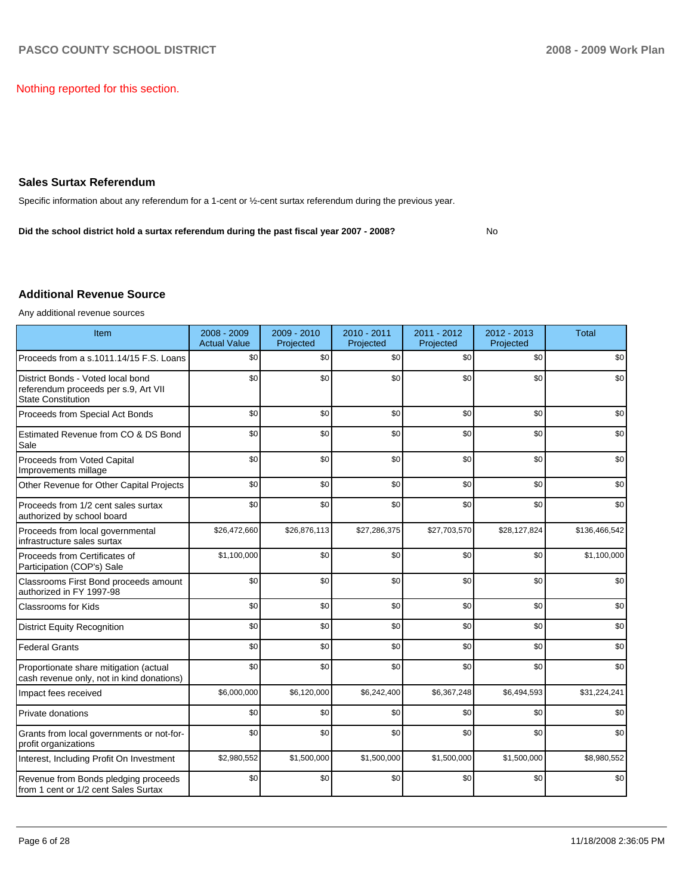Nothing reported for this section.

### **Sales Surtax Referendum**

Specific information about any referendum for a 1-cent or  $\frac{1}{2}$ -cent surtax referendum during the previous year.

Did the school district hold a surtax referendum during the past fiscal year 2007 - 2008?

**No** 

## **Additional Revenue Source**

Any additional revenue sources

| Item                                                                                                   | 2008 - 2009<br><b>Actual Value</b> | 2009 - 2010<br>Projected | $2010 - 2011$<br>Projected | 2011 - 2012<br>Projected | $2012 - 2013$<br>Projected | <b>Total</b>  |
|--------------------------------------------------------------------------------------------------------|------------------------------------|--------------------------|----------------------------|--------------------------|----------------------------|---------------|
| Proceeds from a s.1011.14/15 F.S. Loans                                                                | \$0                                | \$0                      | \$0                        | \$0                      | \$0                        | \$0           |
| District Bonds - Voted local bond<br>referendum proceeds per s.9, Art VII<br><b>State Constitution</b> | \$0                                | \$0                      | \$0                        | \$0                      | \$0                        | \$0           |
| Proceeds from Special Act Bonds                                                                        | \$0                                | \$0                      | \$0                        | \$0                      | \$0                        | \$0           |
| Estimated Revenue from CO & DS Bond<br>Sale                                                            | \$0                                | \$0                      | \$0                        | \$0                      | \$0                        | \$0           |
| Proceeds from Voted Capital<br>Improvements millage                                                    | \$0                                | \$0                      | \$0                        | \$0                      | \$0                        | \$0           |
| Other Revenue for Other Capital Projects                                                               | \$0                                | \$0                      | \$0                        | \$0                      | \$0                        | \$0           |
| Proceeds from 1/2 cent sales surtax<br>authorized by school board                                      | \$0                                | \$0                      | \$0                        | \$0                      | \$0                        | \$0           |
| Proceeds from local governmental<br>infrastructure sales surtax                                        | \$26,472,660                       | \$26,876,113             | \$27,286,375               | \$27,703,570             | \$28,127,824               | \$136,466,542 |
| Proceeds from Certificates of<br>Participation (COP's) Sale                                            | \$1,100,000                        | \$0                      | \$0                        | \$0                      | \$0                        | \$1,100,000   |
| Classrooms First Bond proceeds amount<br>authorized in FY 1997-98                                      | \$0                                | \$0                      | \$0                        | \$0                      | \$0                        | \$0           |
| <b>Classrooms for Kids</b>                                                                             | \$0                                | \$0                      | \$0                        | \$0                      | \$0                        | \$0           |
| <b>District Equity Recognition</b>                                                                     | \$0                                | \$0                      | \$0                        | \$0                      | \$0                        | \$0           |
| <b>Federal Grants</b>                                                                                  | \$0                                | \$0                      | \$0                        | \$0                      | \$0                        | \$0           |
| Proportionate share mitigation (actual<br>cash revenue only, not in kind donations)                    | \$0                                | \$0                      | \$0                        | \$0                      | \$0                        | \$0           |
| Impact fees received                                                                                   | \$6,000,000                        | \$6,120,000              | \$6,242,400                | \$6,367,248              | \$6,494,593                | \$31,224,241  |
| Private donations                                                                                      | \$0                                | \$0                      | \$0                        | \$0                      | \$0                        | \$0           |
| Grants from local governments or not-for-<br>profit organizations                                      | \$0                                | \$0                      | \$0                        | \$0                      | \$0                        | \$0           |
| Interest, Including Profit On Investment                                                               | \$2,980,552                        | \$1,500,000              | \$1,500,000                | \$1,500,000              | \$1,500,000                | \$8,980,552   |
| Revenue from Bonds pledging proceeds<br>from 1 cent or 1/2 cent Sales Surtax                           | \$0                                | \$0                      | \$0                        | \$0                      | \$0                        | \$0           |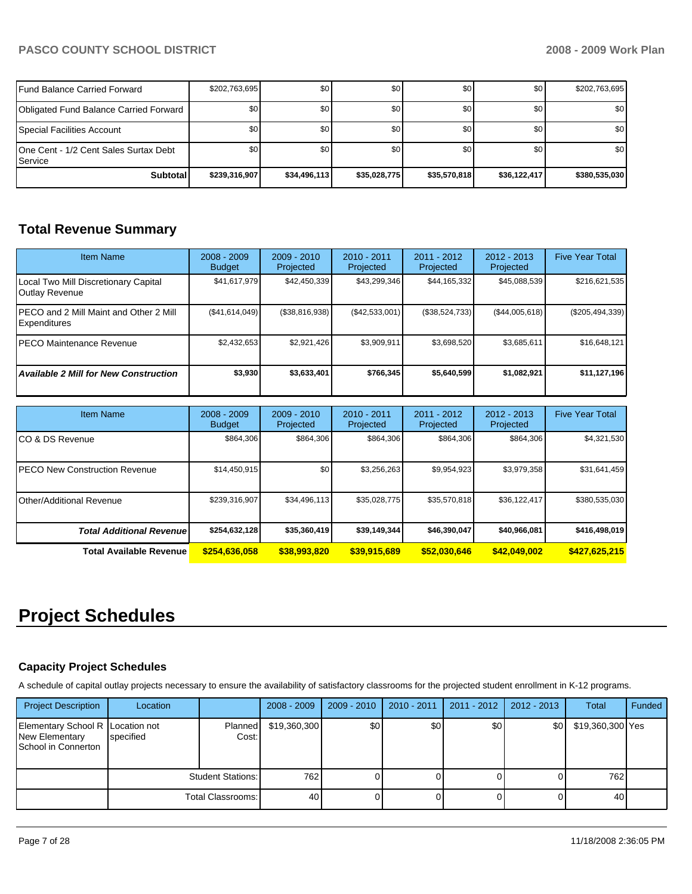# PASCO COUNTY SCHOOL DISTRICT **2008 - 2009 Work Plan**

| l Fund Balance Carried Forward                        | \$202,763,695 | \$0          | \$0          | \$0 <sub>1</sub> | \$0          | \$202,763,695    |
|-------------------------------------------------------|---------------|--------------|--------------|------------------|--------------|------------------|
| Obligated Fund Balance Carried Forward                | \$0           | \$0          | \$0          | \$0              | \$0          | \$0 <sub>1</sub> |
| Special Facilities Account                            | \$0           | \$0          | \$0          | \$0              | \$0          | \$0              |
| IOne Cent - 1/2 Cent Sales Surtax Debt<br>l Service i | \$0           | \$0          | \$0          | \$0              | \$0          | \$0              |
| <b>Subtotal</b>                                       | \$239,316,907 | \$34,496,113 | \$35,028,775 | \$35,570,818     | \$36,122,417 | \$380,535,030    |

# **Total Revenue Summary**

| <b>Item Name</b>                                              | $2008 - 2009$<br><b>Budget</b> | $2009 - 2010$<br>Projected | $2010 - 2011$<br>Projected | 2011 - 2012<br>Projected | 2012 - 2013<br>Projected | <b>Five Year Total</b> |
|---------------------------------------------------------------|--------------------------------|----------------------------|----------------------------|--------------------------|--------------------------|------------------------|
| Local Two Mill Discretionary Capital<br><b>Outlay Revenue</b> | \$41,617,979                   | \$42,450,339               | \$43,299,346               | \$44,165,332             | \$45,088,539             | \$216,621,535          |
| IPECO and 2 Mill Maint and Other 2 Mill<br>Expenditures       | (S41, 614, 049)                | (\$38,816,938)             | (\$42,533,001)             | (S38, 524, 733)          | (S44,005,618)            | $(\$205,494,339)$      |
| IPECO Maintenance Revenue                                     | \$2,432,653                    | \$2,921,426                | \$3,909,911                | \$3,698,520              | \$3,685,611              | \$16,648,121           |
| <b>Available 2 Mill for New Construction</b>                  | \$3,930                        | \$3,633,401                | \$766.345                  | \$5,640,599              | \$1,082,921              | \$11,127,196           |

| <b>Item Name</b>                      | $2008 - 2009$<br><b>Budget</b> | $2009 - 2010$<br>Projected | $2010 - 2011$<br>Projected | $2011 - 2012$<br>Projected | $2012 - 2013$<br>Projected | <b>Five Year Total</b> |
|---------------------------------------|--------------------------------|----------------------------|----------------------------|----------------------------|----------------------------|------------------------|
| ICO & DS Revenue                      | \$864,306                      | \$864,306                  | \$864,306                  | \$864,306                  | \$864,306                  | \$4,321,530            |
| <b>IPECO New Construction Revenue</b> | \$14,450,915                   | \$0                        | \$3,256,263                | \$9,954,923                | \$3,979,358                | \$31,641,459           |
| IOther/Additional Revenue             | \$239,316,907                  | \$34,496,113               | \$35,028,775               | \$35,570,818               | \$36,122,417               | \$380,535,030          |
| <b>Total Additional Revenue</b>       | \$254,632,128                  | \$35,360,419               | \$39,149,344               | \$46,390,047               | \$40,966,081               | \$416,498,019          |
| <b>Total Available Revenue</b>        | \$254,636,058                  | \$38,993,820               | \$39,915,689               | \$52,030,646               | \$42,049,002               | \$427,625,215          |

# **Project Schedules**

### **Capacity Project Schedules**

A schedule of capital outlay projects necessary to ensure the availability of satisfactory classrooms for the projected student enrollment in K-12 programs.

| <b>Project Description</b>                                                       | Location  |                          | $2008 - 2009$ | $2009 - 2010$ | 2010 - 2011 | $2011 - 2012$ | 2012 - 2013 | Total            | Funded |
|----------------------------------------------------------------------------------|-----------|--------------------------|---------------|---------------|-------------|---------------|-------------|------------------|--------|
| Elementary School R Location not<br><b>New Elementary</b><br>School in Connerton | specified | Planned<br>Cost:         | \$19,360,300  | \$0           | \$0         | \$0           | \$0         | \$19,360,300 Yes |        |
|                                                                                  |           | <b>Student Stations:</b> | 762           |               |             |               |             | 762              |        |
|                                                                                  |           | Total Classrooms:        | 40            |               |             |               |             | 40               |        |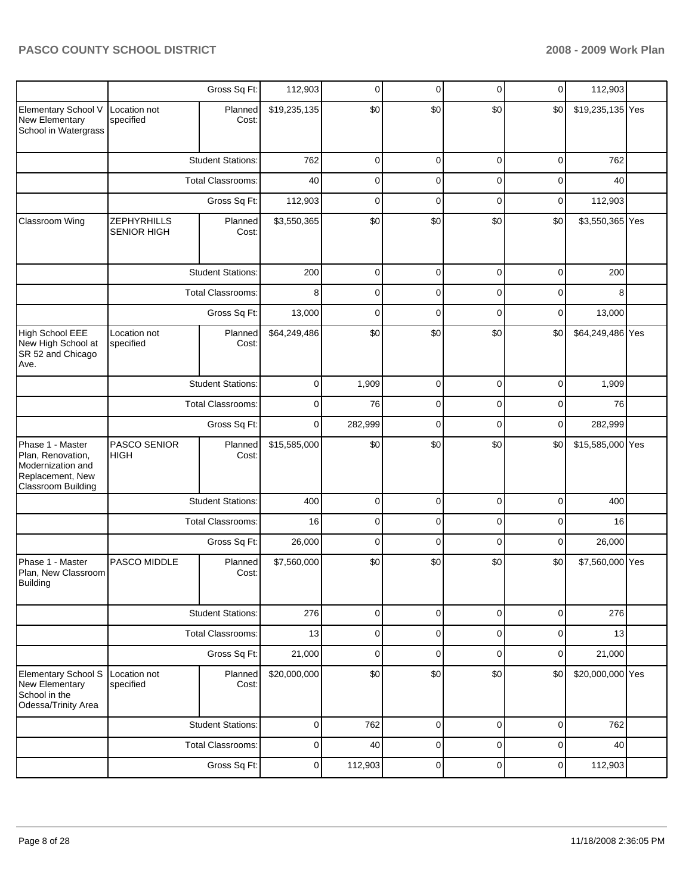|                                                                                                      |                                          | Gross Sq Ft:             | 112,903      | 0       | 0           | 0           | $\mathbf 0$ | 112,903          |  |
|------------------------------------------------------------------------------------------------------|------------------------------------------|--------------------------|--------------|---------|-------------|-------------|-------------|------------------|--|
| Elementary School V<br>New Elementary<br>School in Watergrass                                        | Location not<br>specified                | Planned<br>Cost:         | \$19,235,135 | \$0     | \$0         | \$0         | \$0         | \$19,235,135 Yes |  |
|                                                                                                      |                                          | <b>Student Stations:</b> | 762          | 0       | 0           | 0           | 0           | 762              |  |
|                                                                                                      |                                          | <b>Total Classrooms:</b> | 40           | 0       | 0           | 0           | 0           | 40               |  |
|                                                                                                      |                                          | Gross Sq Ft:             | 112,903      | 0       | 0           | 0           | $\mathbf 0$ | 112,903          |  |
| Classroom Wing                                                                                       | <b>ZEPHYRHILLS</b><br><b>SENIOR HIGH</b> | Planned<br>Cost:         | \$3,550,365  | \$0     | \$0         | \$0         | \$0         | \$3,550,365 Yes  |  |
|                                                                                                      |                                          | <b>Student Stations:</b> | 200          | 0       | 0           | 0           | 0           | 200              |  |
|                                                                                                      |                                          | <b>Total Classrooms:</b> |              | 0       | 0           | 0           | 0           | 8                |  |
|                                                                                                      |                                          | Gross Sq Ft:             | 13,000       | 0       | 0           | 0           | 0           | 13,000           |  |
| <b>High School EEE</b><br>New High School at<br>SR 52 and Chicago<br>Ave.                            | Location not<br>specified                | Planned<br>Cost:         | \$64,249,486 | \$0     | \$0         | \$0         | \$0         | \$64,249,486 Yes |  |
|                                                                                                      |                                          | <b>Student Stations:</b> | 0            | 1,909   | $\mathbf 0$ | 0           | $\mathbf 0$ | 1,909            |  |
|                                                                                                      |                                          | <b>Total Classrooms:</b> | 0            | 76      | 0           | 0           | 0           | 76               |  |
|                                                                                                      |                                          | Gross Sq Ft:             | $\mathbf 0$  | 282,999 | 0           | 0           | $\mathbf 0$ | 282,999          |  |
| Phase 1 - Master<br>Plan, Renovation,<br>Modernization and<br>Replacement, New<br>Classroom Building | PASCO SENIOR<br>HIGH                     | Planned<br>Cost:         | \$15,585,000 | \$0     | \$0         | \$0         | \$0         | \$15,585,000 Yes |  |
|                                                                                                      |                                          | <b>Student Stations:</b> | 400          | 0       | $\mathbf 0$ | 0           | $\mathbf 0$ | 400              |  |
|                                                                                                      |                                          | <b>Total Classrooms:</b> | 16           | 0       | 0           | 0           | 0           | 16               |  |
|                                                                                                      |                                          | Gross Sq Ft:             | 26,000       | 0       | 0           | 0           | $\mathbf 0$ | 26,000           |  |
| Phase 1 - Master<br>Plan, New Classroom<br><b>Building</b>                                           | PASCO MIDDLE                             | Planned<br>Cost:         | \$7,560,000  | \$0     | \$0         | \$0         | \$0         | \$7,560,000 Yes  |  |
|                                                                                                      |                                          | <b>Student Stations:</b> | 276          | 0       | $\mathbf 0$ | 0           | $\mathbf 0$ | 276              |  |
|                                                                                                      |                                          | Total Classrooms:        | 13           | 0       | $\mathbf 0$ | 0           | $\mathbf 0$ | 13               |  |
|                                                                                                      |                                          | Gross Sq Ft:             | 21,000       | 0       | $\mathbf 0$ | 0           | $\mathbf 0$ | 21,000           |  |
| Elementary School S<br>New Elementary<br>School in the<br>Odessa/Trinity Area                        | Location not<br>specified                | Planned<br>Cost:         | \$20,000,000 | \$0     | \$0         | \$0         | \$0         | \$20,000,000 Yes |  |
|                                                                                                      |                                          | <b>Student Stations:</b> | $\mathbf 0$  | 762     | $\mathbf 0$ | $\mathbf 0$ | $\mathbf 0$ | 762              |  |
|                                                                                                      |                                          | Total Classrooms:        | $\pmb{0}$    | 40      | $\mathbf 0$ | 0           | $\mathbf 0$ | 40               |  |
|                                                                                                      |                                          | Gross Sq Ft:             | $\pmb{0}$    | 112,903 | $\mathbf 0$ | $\pmb{0}$   | $\pmb{0}$   | 112,903          |  |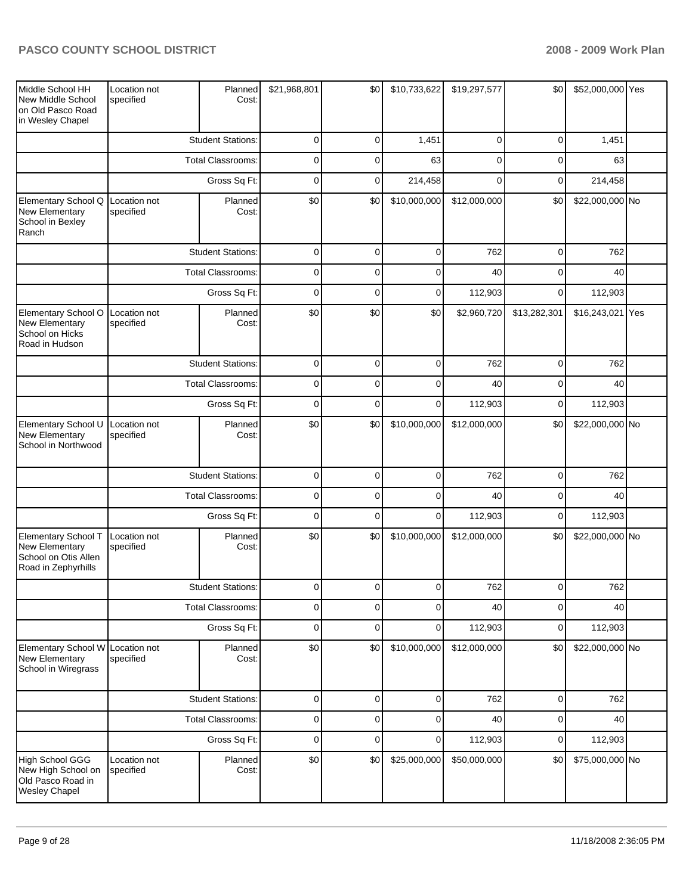| Middle School HH<br>New Middle School<br>on Old Pasco Road<br>in Wesley Chapel       | Location not<br>specified | Planned<br>Cost:         | \$21,968,801   | \$0         | \$10,733,622 | \$19,297,577 | \$0          | \$52,000,000 Yes |  |
|--------------------------------------------------------------------------------------|---------------------------|--------------------------|----------------|-------------|--------------|--------------|--------------|------------------|--|
|                                                                                      |                           | <b>Student Stations:</b> | $\pmb{0}$      | $\mathbf 0$ | 1,451        | $\mathbf 0$  | $\mathbf 0$  | 1,451            |  |
|                                                                                      |                           | <b>Total Classrooms:</b> | $\pmb{0}$      | 0           | 63           | $\mathbf 0$  | $\mathbf 0$  | 63               |  |
|                                                                                      |                           | Gross Sq Ft:             | $\pmb{0}$      | $\mathbf 0$ | 214,458      | $\Omega$     | $\mathbf 0$  | 214,458          |  |
| Elementary School Q<br>New Elementary<br>School in Bexley<br>Ranch                   | Location not<br>specified | Planned<br>Cost:         | \$0            | \$0         | \$10,000,000 | \$12,000,000 | \$0          | \$22,000,000 No  |  |
|                                                                                      |                           | <b>Student Stations:</b> | $\pmb{0}$      | $\mathbf 0$ | $\mathbf 0$  | 762          | $\mathbf 0$  | 762              |  |
|                                                                                      |                           | <b>Total Classrooms:</b> | $\pmb{0}$      | $\mathbf 0$ | $\mathbf 0$  | 40           | $\mathbf 0$  | 40               |  |
|                                                                                      |                           | Gross Sq Ft:             | $\mathbf 0$    | $\mathbf 0$ | $\mathbf 0$  | 112,903      | $\mathbf 0$  | 112,903          |  |
| Elementary School O<br>New Elementary<br>School on Hicks<br>Road in Hudson           | Location not<br>specified | Planned<br>Cost:         | \$0            | \$0         | \$0          | \$2,960,720  | \$13,282,301 | \$16,243,021 Yes |  |
|                                                                                      |                           | <b>Student Stations:</b> | $\pmb{0}$      | $\mathbf 0$ | $\mathbf 0$  | 762          | $\mathbf 0$  | 762              |  |
|                                                                                      |                           | <b>Total Classrooms:</b> | $\pmb{0}$      | $\mathbf 0$ | $\mathbf 0$  | 40           | $\mathbf 0$  | 40               |  |
|                                                                                      |                           | Gross Sq Ft:             | $\mathbf 0$    | $\mathbf 0$ | $\mathbf 0$  | 112,903      | $\mathbf 0$  | 112,903          |  |
| Elementary School U<br>New Elementary<br>School in Northwood                         | Location not<br>specified | Planned<br>Cost:         | \$0            | \$0         | \$10,000,000 | \$12,000,000 | \$0          | \$22,000,000 No  |  |
|                                                                                      |                           | <b>Student Stations:</b> | $\pmb{0}$      | $\mathbf 0$ | $\mathbf 0$  | 762          | $\mathbf 0$  | 762              |  |
|                                                                                      |                           | <b>Total Classrooms:</b> |                | $\mathbf 0$ | $\mathbf 0$  | 40           | $\mathbf 0$  | 40               |  |
|                                                                                      |                           | Gross Sq Ft:             | $\pmb{0}$      | $\mathbf 0$ | $\mathbf 0$  | 112,903      | $\mathbf 0$  | 112,903          |  |
| Elementary School T<br>New Elementary<br>School on Otis Allen<br>Road in Zephyrhills | Location not<br>specified | Planned<br>Cost:         | \$0            | \$0         | \$10,000,000 | \$12,000,000 | \$0          | \$22,000,000 No  |  |
|                                                                                      |                           | <b>Student Stations:</b> | 0              | 0           | 0            | 762          | $\mathbf 0$  | 762              |  |
|                                                                                      |                           | <b>Total Classrooms:</b> | $\overline{0}$ | $\mathbf 0$ | $\mathbf 0$  | 40           | $\mathbf 0$  | 40               |  |
|                                                                                      |                           | Gross Sq Ft:             | $\mathbf 0$    | $\mathbf 0$ | $\mathbf 0$  | 112,903      | $\mathbf 0$  | 112,903          |  |
| Elementary School W Location not<br>New Elementary<br>School in Wiregrass            | specified                 | Planned<br>Cost:         | \$0            | \$0         | \$10,000,000 | \$12,000,000 | \$0          | \$22,000,000 No  |  |
|                                                                                      |                           | <b>Student Stations:</b> | $\mathbf 0$    | $\mathbf 0$ | $\mathbf 0$  | 762          | $\mathbf 0$  | 762              |  |
|                                                                                      |                           | <b>Total Classrooms:</b> | $\pmb{0}$      | $\mathbf 0$ | $\mathbf 0$  | 40           | $\mathbf 0$  | 40               |  |
|                                                                                      |                           | Gross Sq Ft:             | $\pmb{0}$      | $\mathbf 0$ | $\mathbf 0$  | 112,903      | $\mathbf 0$  | 112,903          |  |
| High School GGG<br>New High School on<br>Old Pasco Road in<br><b>Wesley Chapel</b>   | Location not<br>specified | Planned<br>Cost:         | \$0            | \$0         | \$25,000,000 | \$50,000,000 | \$0          | \$75,000,000 No  |  |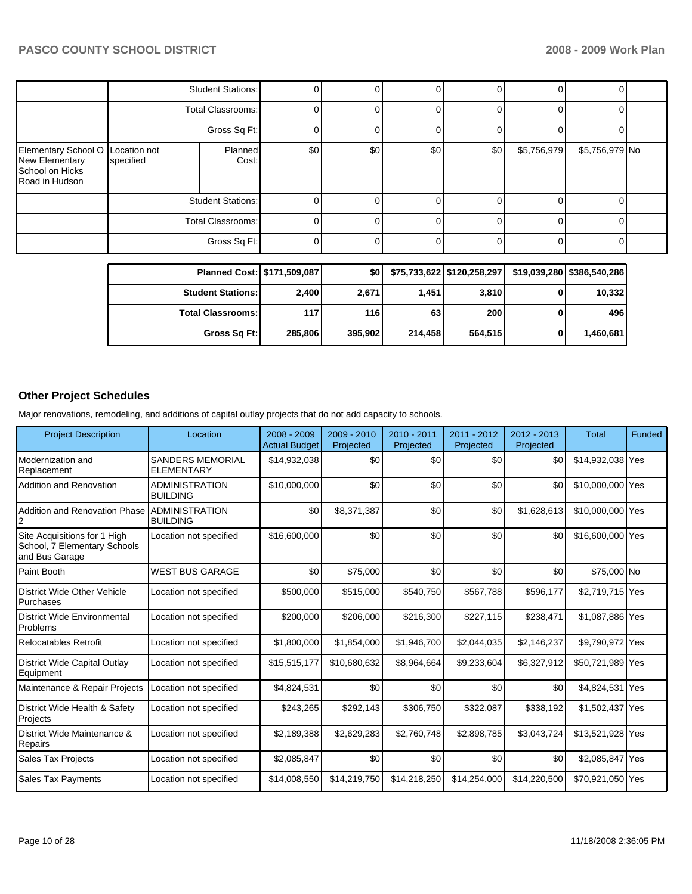|                                                                            |                                               | <b>Student Stations:</b> |     |     |     |     |             |                |  |
|----------------------------------------------------------------------------|-----------------------------------------------|--------------------------|-----|-----|-----|-----|-------------|----------------|--|
|                                                                            |                                               | Total Classrooms:        |     |     |     |     |             |                |  |
|                                                                            |                                               | Gross Sq Ft:             |     |     |     |     |             |                |  |
| Elementary School O<br>New Elementary<br>School on Hicks<br>Road in Hudson | Planned<br>Location not<br>specified<br>Cost: |                          | \$0 | \$0 | \$0 | \$0 | \$5,756,979 | \$5,756,979 No |  |
|                                                                            |                                               | <b>Student Stations:</b> |     |     |     |     |             |                |  |
|                                                                            | Total Classrooms:                             |                          |     |     |     |     |             |                |  |
|                                                                            |                                               | Gross Sq Ft:             |     |     |     |     |             |                |  |

| Planned Cost:   \$171,509,087 |         | \$0     |         | \$75,733,622 \$120,258,297 | \$19,039,280   \$386,540,286 |
|-------------------------------|---------|---------|---------|----------------------------|------------------------------|
| <b>Student Stations:</b>      | 2,400   | 2,671   | 1.451   | 3,810                      | 10,332                       |
| <b>Total Classrooms:</b>      | 117     | 116     | 63      | 200                        | 496                          |
| Gross Sq Ft:                  | 285,806 | 395.902 | 214.458 | 564,515                    | 1,460,681                    |

# **Other Project Schedules**

Major renovations, remodeling, and additions of capital outlay projects that do not add capacity to schools.

| <b>Project Description</b>                                                     | Location                                     | 2008 - 2009<br><b>Actual Budget</b> | $2009 - 2010$<br>Projected | $2010 - 2011$<br>Projected | $2011 - 2012$<br>Projected | $2012 - 2013$<br>Projected | Total            | Funded |
|--------------------------------------------------------------------------------|----------------------------------------------|-------------------------------------|----------------------------|----------------------------|----------------------------|----------------------------|------------------|--------|
| Modernization and<br>Replacement                                               | <b>SANDERS MEMORIAL</b><br><b>ELEMENTARY</b> | \$14,932,038                        | \$0                        | \$0                        | \$0                        | \$0                        | \$14,932,038 Yes |        |
| Addition and Renovation                                                        | <b>ADMINISTRATION</b><br><b>BUILDING</b>     | \$10,000,000                        | \$0                        | \$0                        | \$0                        | \$0                        | \$10,000,000 Yes |        |
| <b>Addition and Renovation Phase</b>                                           | <b>ADMINISTRATION</b><br><b>BUILDING</b>     | \$0                                 | \$8,371,387                | \$0                        | \$0                        | \$1,628,613                | \$10,000,000 Yes |        |
| Site Acquisitions for 1 High<br>School, 7 Elementary Schools<br>and Bus Garage | Location not specified                       | \$16,600,000                        | \$0                        | \$0                        | \$0                        | \$0                        | \$16,600,000 Yes |        |
| Paint Booth                                                                    | <b>WEST BUS GARAGE</b>                       | \$0                                 | \$75,000                   | \$0                        | \$0                        | \$0                        | \$75,000 No      |        |
| District Wide Other Vehicle<br>Purchases                                       | Location not specified                       | \$500,000                           | \$515,000                  | \$540,750                  | \$567,788                  | \$596,177                  | \$2,719,715 Yes  |        |
| <b>District Wide Environmental</b><br>Problems                                 | Location not specified                       | \$200,000                           | \$206,000                  | \$216,300                  | \$227,115                  | \$238,471                  | \$1,087,886 Yes  |        |
| <b>Relocatables Retrofit</b>                                                   | Location not specified                       | \$1,800,000                         | \$1,854,000                | \$1,946,700                | \$2,044,035                | \$2,146,237                | \$9,790,972 Yes  |        |
| District Wide Capital Outlay<br>Equipment                                      | Location not specified                       | \$15,515,177                        | \$10,680,632               | \$8,964,664                | \$9,233,604                | \$6,327,912                | \$50,721,989 Yes |        |
| Maintenance & Repair Projects                                                  | Location not specified                       | \$4,824,531                         | \$0                        | \$0                        | \$0                        | \$0                        | \$4,824,531 Yes  |        |
| District Wide Health & Safety<br>Projects                                      | Location not specified                       | \$243,265                           | \$292,143                  | \$306,750                  | \$322,087                  | \$338,192                  | \$1,502,437 Yes  |        |
| District Wide Maintenance &<br>Repairs                                         | Location not specified                       | \$2,189,388                         | \$2,629,283                | \$2,760,748                | \$2,898,785                | \$3,043,724                | \$13,521,928 Yes |        |
| <b>Sales Tax Projects</b>                                                      | Location not specified                       | \$2,085,847                         | \$0                        | \$0                        | \$0                        | \$0                        | \$2,085,847 Yes  |        |
| <b>Sales Tax Payments</b>                                                      | Location not specified                       | \$14,008,550                        | \$14,219,750               | \$14,218,250               | \$14,254,000               | \$14,220,500               | \$70,921,050 Yes |        |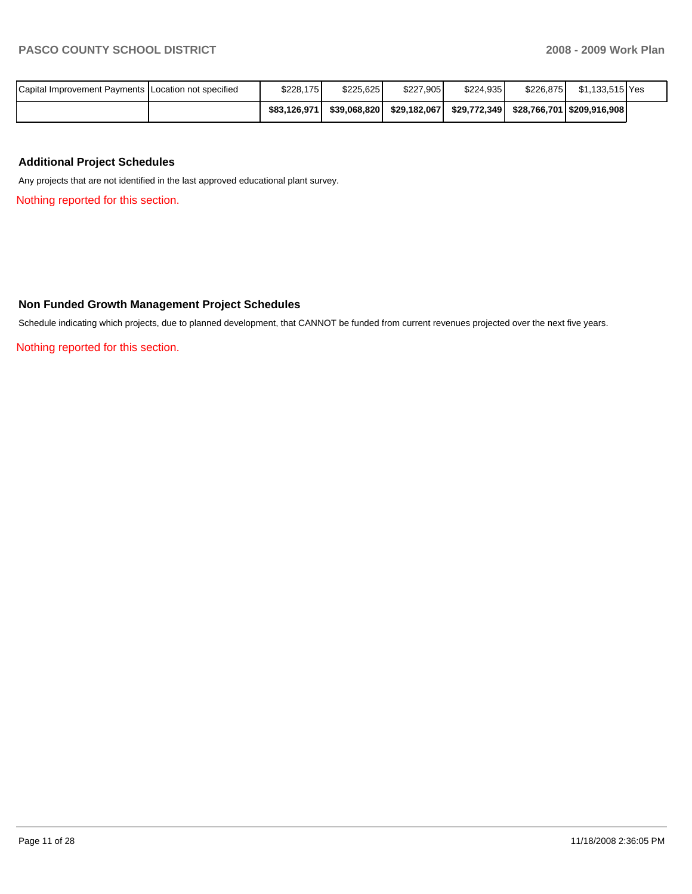| Capital Improvement Payments I Location not specified | \$228.175    | \$225.625    | \$227.9051   | \$224.935 | \$226.8751 | \$1.133.515 Yes                             |  |
|-------------------------------------------------------|--------------|--------------|--------------|-----------|------------|---------------------------------------------|--|
|                                                       | \$83.126.971 | \$39.068.820 | \$29.182.067 |           |            | \$29,772,349   \$28,766,701   \$209,916,908 |  |

# **Additional Project Schedules**

Any projects that are not identified in the last approved educational plant survey.

Nothing reported for this section.

## **Non Funded Growth Management Project Schedules**

Schedule indicating which projects, due to planned development, that CANNOT be funded from current revenues projected over the next five years.

Nothing reported for this section.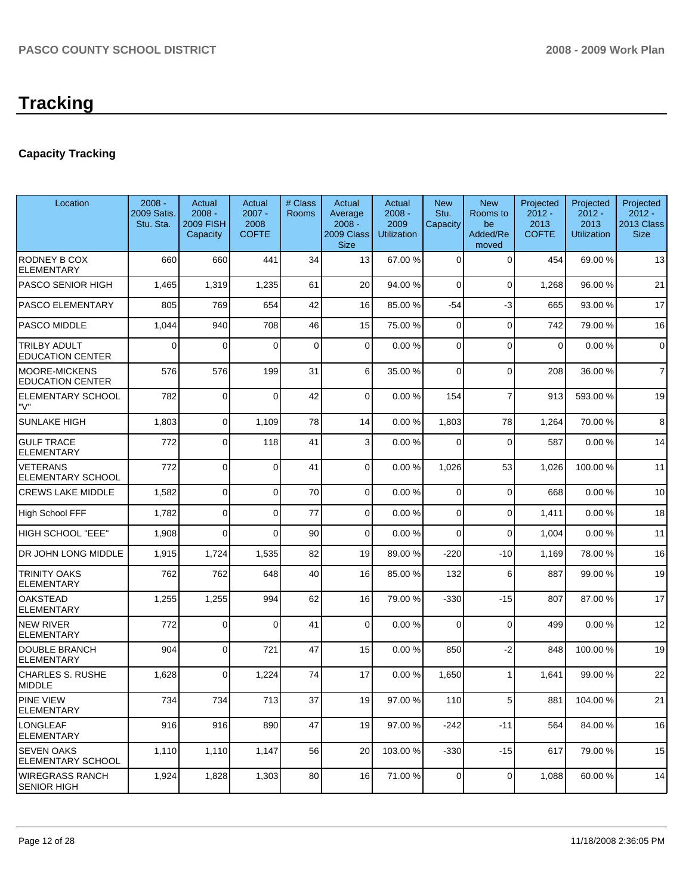# **Capacity Tracking**

| Location                                        | $2008 -$<br>2009 Satis.<br>Stu. Sta. | Actual<br>$2008 -$<br><b>2009 FISH</b><br>Capacity | Actual<br>$2007 -$<br>2008<br><b>COFTE</b> | # Class<br>Rooms | Actual<br>Average<br>$2008 -$<br>2009 Class<br><b>Size</b> | Actual<br>$2008 -$<br>2009<br><b>Utilization</b> | <b>New</b><br>Stu.<br>Capacity | <b>New</b><br>Rooms to<br>be<br>Added/Re<br>moved | Projected<br>$2012 -$<br>2013<br><b>COFTE</b> | Projected<br>$2012 -$<br>2013<br><b>Utilization</b> | Projected<br>$2012 -$<br>2013 Class<br><b>Size</b> |
|-------------------------------------------------|--------------------------------------|----------------------------------------------------|--------------------------------------------|------------------|------------------------------------------------------------|--------------------------------------------------|--------------------------------|---------------------------------------------------|-----------------------------------------------|-----------------------------------------------------|----------------------------------------------------|
| RODNEY B COX<br><b>ELEMENTARY</b>               | 660                                  | 660                                                | 441                                        | 34               | 13 <sup>1</sup>                                            | 67.00 %                                          | 0                              | 0                                                 | 454                                           | 69.00 %                                             | 13                                                 |
| <b>PASCO SENIOR HIGH</b>                        | 1,465                                | 1,319                                              | 1,235                                      | 61               | 20                                                         | 94.00 %                                          | $\Omega$                       | $\Omega$                                          | 1,268                                         | 96.00 %                                             | 21                                                 |
| PASCO ELEMENTARY                                | 805                                  | 769                                                | 654                                        | 42               | 16                                                         | 85.00 %                                          | $-54$                          | -3                                                | 665                                           | 93.00 %                                             | 17                                                 |
| PASCO MIDDLE                                    | 1,044                                | 940                                                | 708                                        | 46               | 15                                                         | 75.00 %                                          | $\mathbf 0$                    | $\mathbf 0$                                       | 742                                           | 79.00 %                                             | 16                                                 |
| TRILBY ADULT<br><b>EDUCATION CENTER</b>         | 0                                    | 0                                                  | $\Omega$                                   | 0                | $\overline{0}$                                             | 0.00%                                            | $\overline{0}$                 | $\Omega$                                          | $\mathbf 0$                                   | 0.00%                                               | $\mathbf 0$                                        |
| <b>MOORE-MICKENS</b><br><b>EDUCATION CENTER</b> | 576                                  | 576                                                | 199                                        | 31               | 6                                                          | 35.00 %                                          | $\mathbf 0$                    | $\mathbf 0$                                       | 208                                           | 36.00 %                                             | $\overline{7}$                                     |
| ELEMENTARY SCHOOL<br>"V"                        | 782                                  | $\Omega$                                           | $\Omega$                                   | 42               | 0                                                          | 0.00%                                            | 154                            | $\overline{7}$                                    | 913                                           | 593.00 %                                            | 19                                                 |
| <b>SUNLAKE HIGH</b>                             | 1,803                                | 0                                                  | 1,109                                      | 78               | 14                                                         | 0.00%                                            | 1,803                          | 78                                                | 1,264                                         | 70.00 %                                             | 8                                                  |
| <b>GULF TRACE</b><br><b>ELEMENTARY</b>          | 772                                  | 0                                                  | 118                                        | 41               | $\overline{3}$                                             | 0.00%                                            | $\Omega$                       | $\overline{0}$                                    | 587                                           | 0.00%                                               | 14                                                 |
| <b>VETERANS</b><br><b>ELEMENTARY SCHOOL</b>     | 772                                  | 0                                                  | $\Omega$                                   | 41               | $\overline{0}$                                             | 0.00%                                            | 1,026                          | 53                                                | 1,026                                         | 100.00 %                                            | 11                                                 |
| <b>CREWS LAKE MIDDLE</b>                        | 1,582                                | 0                                                  | $\Omega$                                   | 70               | $\overline{0}$                                             | 0.00%                                            | $\mathbf 0$                    | $\mathbf 0$                                       | 668                                           | 0.00%                                               | 10                                                 |
| <b>High School FFF</b>                          | 1,782                                | 0                                                  | $\Omega$                                   | 77               | $\overline{0}$                                             | 0.00%                                            | $\mathbf 0$                    | $\mathbf 0$                                       | 1,411                                         | 0.00%                                               | 18                                                 |
| HIGH SCHOOL "EEE"                               | 1,908                                | 0                                                  | $\Omega$                                   | 90               | $\overline{0}$                                             | 0.00%                                            | $\Omega$                       | $\Omega$                                          | 1,004                                         | 0.00%                                               | 11                                                 |
| DR JOHN LONG MIDDLE                             | 1,915                                | 1,724                                              | 1,535                                      | 82               | 19                                                         | 89.00 %                                          | $-220$                         | $-10$                                             | 1,169                                         | 78.00 %                                             | 16                                                 |
| <b>TRINITY OAKS</b><br><b>ELEMENTARY</b>        | 762                                  | 762                                                | 648                                        | 40               | 16                                                         | 85.00 %                                          | 132                            | 6                                                 | 887                                           | 99.00 %                                             | 19                                                 |
| <b>OAKSTEAD</b><br><b>ELEMENTARY</b>            | 1,255                                | 1,255                                              | 994                                        | 62               | 16                                                         | 79.00 %                                          | $-330$                         | $-15$                                             | 807                                           | 87.00 %                                             | 17                                                 |
| <b>NEW RIVER</b><br><b>ELEMENTARY</b>           | 772                                  | 0                                                  | $\Omega$                                   | 41               | $\Omega$                                                   | 0.00%                                            | $\Omega$                       | $\overline{0}$                                    | 499                                           | 0.00%                                               | 12                                                 |
| <b>DOUBLE BRANCH</b><br>ELEMENTARY              | 904                                  | $\Omega$                                           | 721                                        | 47               | 15                                                         | 0.00%                                            | 850                            | $-2$                                              | 848                                           | 100.00%                                             | 19                                                 |
| <b>CHARLES S. RUSHE</b><br><b>MIDDLE</b>        | 1,628                                | $\Omega$                                           | 1,224                                      | 74               | 17                                                         | 0.00%                                            | 1,650                          |                                                   | 1,641                                         | 99.00 %                                             | 22                                                 |
| PINE VIEW<br><b>ELEMENTARY</b>                  | 734                                  | 734                                                | 713                                        | 37               | 19                                                         | 97.00 %                                          | 110                            | 5                                                 | 881                                           | 104.00 %                                            | 21                                                 |
| <b>LONGLEAF</b><br><b>ELEMENTARY</b>            | 916                                  | 916                                                | 890                                        | 47               | 19                                                         | 97.00 %                                          | $-242$                         | $-11$                                             | 564                                           | 84.00 %                                             | 16                                                 |
| <b>SEVEN OAKS</b><br>ELEMENTARY SCHOOL          | 1,110                                | 1,110                                              | 1,147                                      | 56               | 20                                                         | 103.00 %                                         | $-330$                         | $-15$                                             | 617                                           | 79.00 %                                             | 15                                                 |
| <b>WIREGRASS RANCH</b><br><b>SENIOR HIGH</b>    | 1,924                                | 1,828                                              | 1,303                                      | 80               | 16                                                         | 71.00 %                                          | 0                              | 0                                                 | 1,088                                         | 60.00 %                                             | 14                                                 |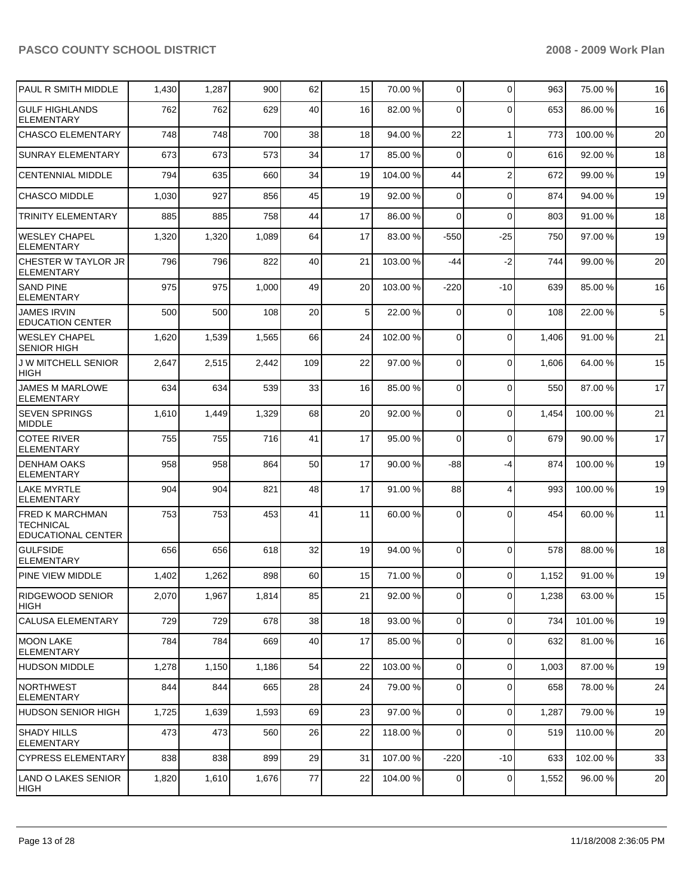| PAUL R SMITH MIDDLE                                                     | 1,430 | 1,287 | 900   | 62  | 15 | 70.00 %  | $\mathbf 0$    | $\mathbf 0$    | 963   | 75.00 %  | 16 |
|-------------------------------------------------------------------------|-------|-------|-------|-----|----|----------|----------------|----------------|-------|----------|----|
| <b>GULF HIGHLANDS</b><br><b>ELEMENTARY</b>                              | 762   | 762   | 629   | 40  | 16 | 82.00 %  | $\Omega$       | $\Omega$       | 653   | 86.00 %  | 16 |
| <b>CHASCO ELEMENTARY</b>                                                | 748   | 748   | 700   | 38  | 18 | 94.00 %  | 22             | $\mathbf{1}$   | 773   | 100.00 % | 20 |
| <b>SUNRAY ELEMENTARY</b>                                                | 673   | 673   | 573   | 34  | 17 | 85.00 %  | $\Omega$       | $\Omega$       | 616   | 92.00 %  | 18 |
| <b>CENTENNIAL MIDDLE</b>                                                | 794   | 635   | 660   | 34  | 19 | 104.00 % | 44             | $\overline{2}$ | 672   | 99.00 %  | 19 |
| <b>CHASCO MIDDLE</b>                                                    | 1,030 | 927   | 856   | 45  | 19 | 92.00 %  | 0              | $\Omega$       | 874   | 94.00 %  | 19 |
| <b>TRINITY ELEMENTARY</b>                                               | 885   | 885   | 758   | 44  | 17 | 86.00 %  | $\Omega$       | $\mathbf 0$    | 803   | 91.00 %  | 18 |
| <b>WESLEY CHAPEL</b><br><b>ELEMENTARY</b>                               | 1,320 | 1,320 | 1,089 | 64  | 17 | 83.00 %  | $-550$         | $-25$          | 750   | 97.00 %  | 19 |
| CHESTER W TAYLOR JR<br><b>ELEMENTARY</b>                                | 796   | 796   | 822   | 40  | 21 | 103.00 % | -44            | $-2$           | 744   | 99.00 %  | 20 |
| <b>SAND PINE</b><br><b>ELEMENTARY</b>                                   | 975   | 975   | 1,000 | 49  | 20 | 103.00 % | $-220$         | $-10$          | 639   | 85.00 %  | 16 |
| <b>JAMES IRVIN</b><br><b>EDUCATION CENTER</b>                           | 500   | 500   | 108   | 20  | 5  | 22.00 %  | $\Omega$       | $\mathbf 0$    | 108   | 22.00 %  | 5  |
| <b>WESLEY CHAPEL</b><br><b>SENIOR HIGH</b>                              | 1,620 | 1,539 | 1,565 | 66  | 24 | 102.00 % | 0              | $\Omega$       | 1,406 | 91.00 %  | 21 |
| J W MITCHELL SENIOR<br><b>HIGH</b>                                      | 2,647 | 2,515 | 2,442 | 109 | 22 | 97.00 %  | $\Omega$       | $\Omega$       | 1,606 | 64.00 %  | 15 |
| <b>JAMES M MARLOWE</b><br><b>ELEMENTARY</b>                             | 634   | 634   | 539   | 33  | 16 | 85.00 %  | 0              | $\mathbf 0$    | 550   | 87.00 %  | 17 |
| <b>SEVEN SPRINGS</b><br><b>MIDDLE</b>                                   | 1,610 | 1,449 | 1,329 | 68  | 20 | 92.00 %  | $\Omega$       | $\mathbf 0$    | 1,454 | 100.00 % | 21 |
| <b>COTEE RIVER</b><br><b>ELEMENTARY</b>                                 | 755   | 755   | 716   | 41  | 17 | 95.00 %  | $\mathbf 0$    | $\Omega$       | 679   | 90.00 %  | 17 |
| <b>DENHAM OAKS</b><br><b>ELEMENTARY</b>                                 | 958   | 958   | 864   | 50  | 17 | 90.00 %  | -88            | $-4$           | 874   | 100.00 % | 19 |
| <b>LAKE MYRTLE</b><br><b>ELEMENTARY</b>                                 | 904   | 904   | 821   | 48  | 17 | 91.00 %  | 88             | $\overline{4}$ | 993   | 100.00 % | 19 |
| <b>FRED K MARCHMAN</b><br><b>TECHNICAL</b><br><b>EDUCATIONAL CENTER</b> | 753   | 753   | 453   | 41  | 11 | 60.00 %  | 0              | $\Omega$       | 454   | 60.00 %  | 11 |
| <b>GULFSIDE</b><br><b>ELEMENTARY</b>                                    | 656   | 656   | 618   | 32  | 19 | 94.00 %  | 0              | $\mathbf 0$    | 578   | 88.00 %  | 18 |
| <b>PINE VIEW MIDDLE</b>                                                 | 1,402 | 1,262 | 898   | 60  | 15 | 71.00 %  | $\Omega$       | $\Omega$       | 1,152 | 91.00 %  | 19 |
| <b>RIDGEWOOD SENIOR</b><br>HIGH                                         | 2,070 | 1,967 | 1,814 | 85  | 21 | 92.00 %  | $\overline{0}$ | $\mathbf 0$    | 1,238 | 63.00 %  | 15 |
| CALUSA ELEMENTARY                                                       | 729   | 729   | 678   | 38  | 18 | 93.00 %  | $\overline{0}$ | $\Omega$       | 734   | 101.00 % | 19 |
| IMOON LAKE<br><b>ELEMENTARY</b>                                         | 784   | 784   | 669   | 40  | 17 | 85.00 %  | $\mathbf 0$    | $\mathbf 0$    | 632   | 81.00 %  | 16 |
| <b>HUDSON MIDDLE</b>                                                    | 1,278 | 1,150 | 1,186 | 54  | 22 | 103.00 % | 0              | $\mathbf 0$    | 1,003 | 87.00 %  | 19 |
| <b>NORTHWEST</b><br><b>ELEMENTARY</b>                                   | 844   | 844   | 665   | 28  | 24 | 79.00 %  | 0              | $\mathbf 0$    | 658   | 78.00 %  | 24 |
| <b>HUDSON SENIOR HIGH</b>                                               | 1,725 | 1,639 | 1,593 | 69  | 23 | 97.00 %  | $\mathbf 0$    | $\mathbf 0$    | 1,287 | 79.00 %  | 19 |
| <b>SHADY HILLS</b><br><b>ELEMENTARY</b>                                 | 473   | 473   | 560   | 26  | 22 | 118.00 % | $\mathbf 0$    | $\mathbf 0$    | 519   | 110.00 % | 20 |
| <b>CYPRESS ELEMENTARY</b>                                               | 838   | 838   | 899   | 29  | 31 | 107.00 % | $-220$         | $-10$          | 633   | 102.00 % | 33 |
| LAND O LAKES SENIOR<br>HIGH                                             | 1,820 | 1,610 | 1,676 | 77  | 22 | 104.00 % | 0              | 0              | 1,552 | 96.00 %  | 20 |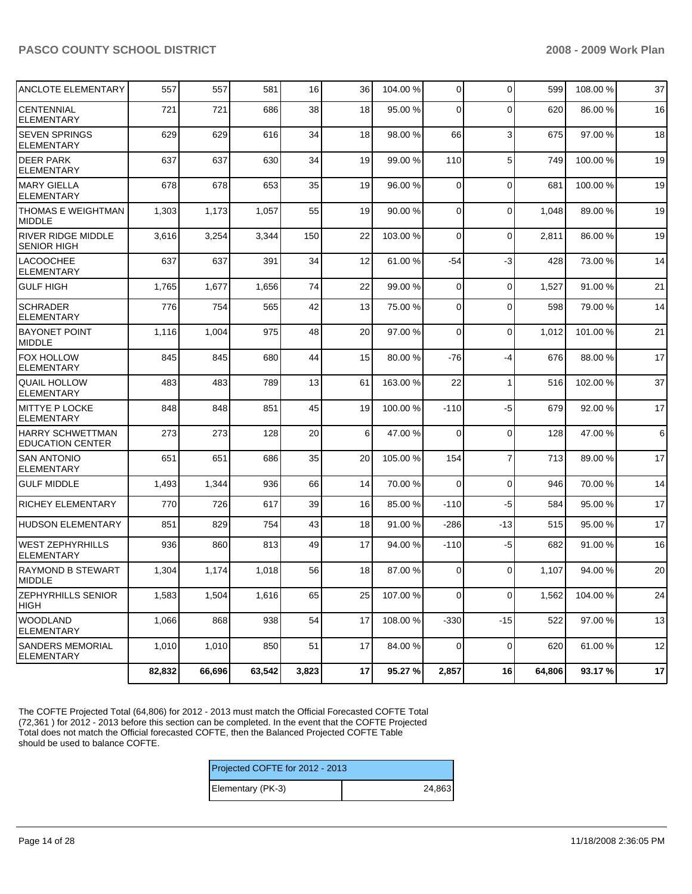| ANCLOTE ELEMENTARY                                 | 557    | 557    | 581    | 16    | 36 | 104.00 % | 0           | $\Omega$       | 599    | 108.00 % | 37 |
|----------------------------------------------------|--------|--------|--------|-------|----|----------|-------------|----------------|--------|----------|----|
| <b>CENTENNIAL</b><br><b>ELEMENTARY</b>             | 721    | 721    | 686    | 38    | 18 | 95.00 %  | 0           | $\Omega$       | 620    | 86.00 %  | 16 |
| <b>SEVEN SPRINGS</b><br><b>ELEMENTARY</b>          | 629    | 629    | 616    | 34    | 18 | 98.00 %  | 66          | 3              | 675    | 97.00 %  | 18 |
| <b>DEER PARK</b><br><b>ELEMENTARY</b>              | 637    | 637    | 630    | 34    | 19 | 99.00 %  | 110         | 5              | 749    | 100.00%  | 19 |
| <b>MARY GIELLA</b><br><b>ELEMENTARY</b>            | 678    | 678    | 653    | 35    | 19 | 96.00 %  | $\mathbf 0$ | $\mathbf 0$    | 681    | 100.00 % | 19 |
| THOMAS E WEIGHTMAN<br><b>MIDDLE</b>                | 1,303  | 1,173  | 1,057  | 55    | 19 | 90.00 %  | 0           | $\mathbf 0$    | 1,048  | 89.00 %  | 19 |
| <b>RIVER RIDGE MIDDLE</b><br><b>SENIOR HIGH</b>    | 3,616  | 3,254  | 3,344  | 150   | 22 | 103.00 % | $\mathbf 0$ | $\mathbf 0$    | 2,811  | 86.00 %  | 19 |
| <b>LACOOCHEE</b><br><b>ELEMENTARY</b>              | 637    | 637    | 391    | 34    | 12 | 61.00 %  | $-54$       | $-3$           | 428    | 73.00 %  | 14 |
| <b>GULF HIGH</b>                                   | 1,765  | 1,677  | 1,656  | 74    | 22 | 99.00 %  | $\mathbf 0$ | $\mathbf 0$    | 1,527  | 91.00 %  | 21 |
| <b>SCHRADER</b><br><b>ELEMENTARY</b>               | 776    | 754    | 565    | 42    | 13 | 75.00 %  | 0           | $\mathbf 0$    | 598    | 79.00 %  | 14 |
| <b>BAYONET POINT</b><br>MIDDLE                     | 1,116  | 1,004  | 975    | 48    | 20 | 97.00 %  | $\Omega$    | $\mathbf 0$    | 1,012  | 101.00 % | 21 |
| <b>FOX HOLLOW</b><br><b>ELEMENTARY</b>             | 845    | 845    | 680    | 44    | 15 | 80.00 %  | -76         | $-4$           | 676    | 88.00 %  | 17 |
| QUAIL HOLLOW<br><b>ELEMENTARY</b>                  | 483    | 483    | 789    | 13    | 61 | 163.00 % | 22          | $\mathbf{1}$   | 516    | 102.00 % | 37 |
| <b>MITTYE P LOCKE</b><br><b>ELEMENTARY</b>         | 848    | 848    | 851    | 45    | 19 | 100.00 % | $-110$      | $-5$           | 679    | 92.00 %  | 17 |
| <b>HARRY SCHWETTMAN</b><br><b>EDUCATION CENTER</b> | 273    | 273    | 128    | 20    | 6  | 47.00 %  | $\Omega$    | $\mathbf 0$    | 128    | 47.00 %  | 6  |
| <b>SAN ANTONIO</b><br><b>ELEMENTARY</b>            | 651    | 651    | 686    | 35    | 20 | 105.00 % | 154         | $\overline{7}$ | 713    | 89.00 %  | 17 |
| <b>GULF MIDDLE</b>                                 | 1,493  | 1,344  | 936    | 66    | 14 | 70.00 %  | $\Omega$    | $\Omega$       | 946    | 70.00 %  | 14 |
| <b>RICHEY ELEMENTARY</b>                           | 770    | 726    | 617    | 39    | 16 | 85.00 %  | $-110$      | $-5$           | 584    | 95.00 %  | 17 |
| <b>HUDSON ELEMENTARY</b>                           | 851    | 829    | 754    | 43    | 18 | 91.00 %  | $-286$      | -13            | 515    | 95.00 %  | 17 |
| <b>WEST ZEPHYRHILLS</b><br><b>ELEMENTARY</b>       | 936    | 860    | 813    | 49    | 17 | 94.00 %  | $-110$      | $-5$           | 682    | 91.00 %  | 16 |
| <b>RAYMOND B STEWART</b><br>MIDDLE                 | 1,304  | 1,174  | 1,018  | 56    | 18 | 87.00 %  | 0           | $\Omega$       | 1,107  | 94.00 %  | 20 |
| <b>ZEPHYRHILLS SENIOR</b><br> HIGH                 | 1,583  | 1,504  | 1,616  | 65    | 25 | 107.00 % | $\mathbf 0$ | $\overline{0}$ | 1,562  | 104.00 % | 24 |
| <b>WOODLAND</b><br><b>ELEMENTARY</b>               | 1,066  | 868    | 938    | 54    | 17 | 108.00 % | $-330$      | $-15$          | 522    | 97.00 %  | 13 |
| <b>SANDERS MEMORIAL</b><br><b>ELEMENTARY</b>       | 1,010  | 1,010  | 850    | 51    | 17 | 84.00 %  | $\mathbf 0$ | $\mathbf 0$    | 620    | 61.00 %  | 12 |
|                                                    | 82,832 | 66,696 | 63,542 | 3,823 | 17 | 95.27 %  | 2,857       | 16             | 64,806 | 93.17%   | 17 |

The COFTE Projected Total (64,806) for 2012 - 2013 must match the Official Forecasted COFTE Total (72,361 ) for 2012 - 2013 before this section can be completed. In the event that the COFTE Projected Total does not match the Official forecasted COFTE, then the Balanced Projected COFTE Table should be used to balance COFTE.

| Projected COFTE for 2012 - 2013 |        |  |  |  |  |
|---------------------------------|--------|--|--|--|--|
| Elementary (PK-3)               | 24,863 |  |  |  |  |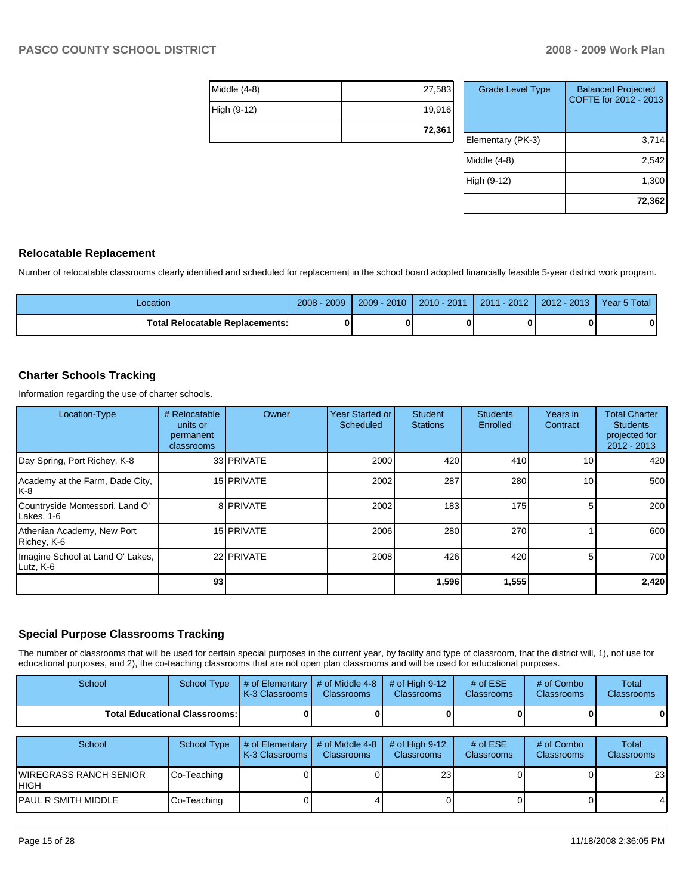| $Middle (4-8)$ | 27,583 |
|----------------|--------|
| High (9-12)    | 19,916 |
|                | 72,361 |

| <b>Grade Level Type</b> | <b>Balanced Projected</b><br>COFTE for 2012 - 2013 |
|-------------------------|----------------------------------------------------|
| Elementary (PK-3)       | 3,714                                              |
| Middle (4-8)            | 2,542                                              |
| High (9-12)             | 1,300                                              |
|                         | 72,362                                             |

#### **Relocatable Replacement**

Number of relocatable classrooms clearly identified and scheduled for replacement in the school board adopted financially feasible 5-year district work program.

| Location                               | 2009<br>2008 | $-2010$<br>2009 | $J - 201$<br>2010 | $-2012$<br>2011 | $-2013$<br>$2012 -$ | Year 5 Total |
|----------------------------------------|--------------|-----------------|-------------------|-----------------|---------------------|--------------|
| <b>Total Relocatable Replacements:</b> |              |                 | 0                 |                 |                     |              |

## **Charter Schools Tracking**

Information regarding the use of charter schools.

| Location-Type                                 | # Relocatable<br>units or<br>permanent<br>classrooms | Owner      | Year Started or<br>Scheduled | <b>Student</b><br><b>Stations</b> | <b>Students</b><br>Enrolled | Years in<br>Contract | <b>Total Charter</b><br><b>Students</b><br>projected for<br>$2012 - 2013$ |
|-----------------------------------------------|------------------------------------------------------|------------|------------------------------|-----------------------------------|-----------------------------|----------------------|---------------------------------------------------------------------------|
| Day Spring, Port Richey, K-8                  |                                                      | 33 PRIVATE | 2000                         | 420                               | 410                         | 10 <sub>1</sub>      | 420                                                                       |
| Academy at the Farm, Dade City,<br>IK-8       |                                                      | 15 PRIVATE | 2002                         | 287                               | 280                         | 10                   | 500                                                                       |
| Countryside Montessori, Land O'<br>Lakes, 1-6 |                                                      | 8 PRIVATE  | 2002                         | 183                               | 175                         |                      | 200                                                                       |
| Athenian Academy, New Port<br>Richey, K-6     |                                                      | 15 PRIVATE | 2006                         | 280                               | 270                         |                      | 600                                                                       |
| Imagine School at Land O' Lakes,<br>Lutz, K-6 |                                                      | 22 PRIVATE | 2008                         | 426                               | 420                         | 5.                   | 700                                                                       |
|                                               | 93                                                   |            |                              | 1,596                             | 1,555                       |                      | 2,420                                                                     |

#### **Special Purpose Classrooms Tracking**

The number of classrooms that will be used for certain special purposes in the current year, by facility and type of classroom, that the district will, 1), not use for educational purposes, and 2), the co-teaching classrooms that are not open plan classrooms and will be used for educational purposes.

| School | School Type                            | $\parallel$ # of Elementary $\parallel$ # of Middle 4-8 $\parallel$ # of High 9-12<br><b>K-3 Classrooms I</b> | <b>Classrooms</b> | <b>Classrooms</b> | # of $ESE$<br><b>Classrooms</b> | $#$ of Combo<br>Classrooms | Total<br><b>Classrooms</b> |
|--------|----------------------------------------|---------------------------------------------------------------------------------------------------------------|-------------------|-------------------|---------------------------------|----------------------------|----------------------------|
|        | <b>Total Educational Classrooms: I</b> |                                                                                                               |                   | OΙ                |                                 |                            | $\bf{0}$                   |

| School                                 | School Type | $\#$ of Elementary $\#$ of Middle 4-8<br>K-3 Classrooms I | <b>Classrooms</b> | $#$ of High 9-12<br><b>Classrooms</b> | # of $ESE$<br><b>Classrooms</b> | # of Combo<br><b>Classrooms</b> | Total<br><b>Classrooms</b> |
|----------------------------------------|-------------|-----------------------------------------------------------|-------------------|---------------------------------------|---------------------------------|---------------------------------|----------------------------|
| IWIREGRASS RANCH SENIOR<br><b>HIGH</b> | Co-Teaching |                                                           |                   | 23 <sub>l</sub>                       |                                 |                                 | 23 <sub>l</sub>            |
| IPAUL R SMITH MIDDLE                   | Co-Teaching |                                                           |                   |                                       |                                 |                                 | $\overline{4}$             |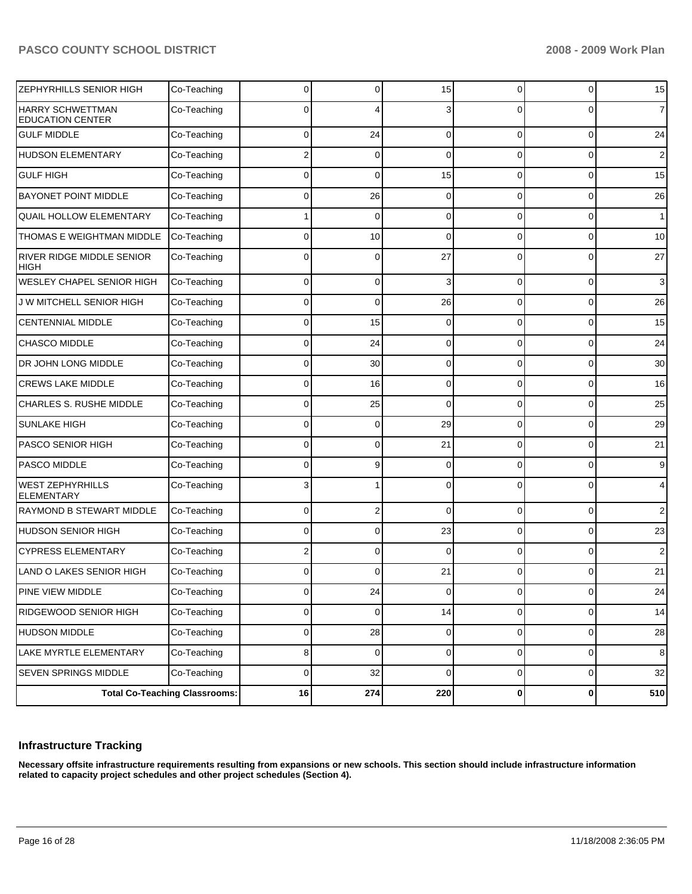| ZEPHYRHILLS SENIOR HIGH                            | Co-Teaching | 0              | 0           | 15          | 0        | 0              | 15             |
|----------------------------------------------------|-------------|----------------|-------------|-------------|----------|----------------|----------------|
| <b>HARRY SCHWETTMAN</b><br><b>EDUCATION CENTER</b> | Co-Teaching | $\Omega$       | 4           |             | $\Omega$ | 0              | $\overline{7}$ |
| <b>GULF MIDDLE</b>                                 | Co-Teaching | 0              | 24          | $\Omega$    | 0        | 0              | 24             |
| <b>HUDSON ELEMENTARY</b>                           | Co-Teaching | $\overline{2}$ | $\mathbf 0$ | $\Omega$    | 0        | 0              | $\overline{2}$ |
| <b>GULF HIGH</b>                                   | Co-Teaching | $\mathbf 0$    | $\mathbf 0$ | 15          | 0        | 0              | 15             |
| <b>BAYONET POINT MIDDLE</b>                        | Co-Teaching | $\Omega$       | 26          | $\Omega$    | 0        | 0              | 26             |
| QUAIL HOLLOW ELEMENTARY                            | Co-Teaching |                | $\mathbf 0$ | $\Omega$    | 0        | 0              | $\mathbf{1}$   |
| THOMAS E WEIGHTMAN MIDDLE                          | Co-Teaching | $\Omega$       | 10          | $\Omega$    | 0        | 0              | 10             |
| RIVER RIDGE MIDDLE SENIOR<br>HIGH                  | Co-Teaching | $\Omega$       | $\mathbf 0$ | 27          | 0        | 0              | 27             |
| WESLEY CHAPEL SENIOR HIGH                          | Co-Teaching | 0              | $\mathbf 0$ | 3           | 0        | 0              | $\mathbf{3}$   |
| <b>JW MITCHELL SENIOR HIGH</b>                     | Co-Teaching | 0              | $\mathbf 0$ | 26          | 0        | 0              | 26             |
| <b>CENTENNIAL MIDDLE</b>                           | Co-Teaching | 0              | 15          | 0           | 0        | 0              | 15             |
| CHASCO MIDDLE                                      | Co-Teaching | 0              | 24          | $\Omega$    | 0        | 0              | 24             |
| DR JOHN LONG MIDDLE                                | Co-Teaching | 0              | 30          | $\Omega$    | 0        | 0              | 30             |
| <b>CREWS LAKE MIDDLE</b>                           | Co-Teaching | 0              | 16          | 0           | 0        | 0              | 16             |
| CHARLES S. RUSHE MIDDLE                            | Co-Teaching | 0              | 25          | $\Omega$    | 0        | 0              | 25             |
| <b>SUNLAKE HIGH</b>                                | Co-Teaching | 0              | 0           | 29          | 0        | 0              | 29             |
| PASCO SENIOR HIGH                                  | Co-Teaching | 0              | $\mathbf 0$ | 21          | 0        | 0              | 21             |
| PASCO MIDDLE                                       | Co-Teaching | 0              | 9           | 0           | 0        | 0              | 9              |
| <b>WEST ZEPHYRHILLS</b><br><b>ELEMENTARY</b>       | Co-Teaching | 3              |             | $\Omega$    | $\Omega$ | 0              | $\overline{4}$ |
| RAYMOND B STEWART MIDDLE                           | Co-Teaching | $\Omega$       | 2           | $\Omega$    | 0        | 0              | $\overline{2}$ |
| <b>HUDSON SENIOR HIGH</b>                          | Co-Teaching | $\Omega$       | $\mathbf 0$ | 23          | $\Omega$ | 0              | 23             |
| <b>CYPRESS ELEMENTARY</b>                          | Co-Teaching | 2              | 0           | $\Omega$    | $\Omega$ | 0              | 2              |
| <b>LAND O LAKES SENIOR HIGH</b>                    | Co-Teaching | 0              | $\Omega$    | 21          | $\Omega$ | 0              | 21             |
| PINE VIEW MIDDLE                                   | Co-Teaching | 0              | 24          | 0           | 0        | $\overline{0}$ | 24             |
| RIDGEWOOD SENIOR HIGH                              | Co-Teaching | 0              | 0           | 14          | 0        | 0              | 14             |
| HUDSON MIDDLE                                      | Co-Teaching | 0              | 28          | 0           | 0        | 0              | 28             |
| LAKE MYRTLE ELEMENTARY                             | Co-Teaching | 8              | 0           | 0           | 0        | 0              | 8              |
| SEVEN SPRINGS MIDDLE                               | Co-Teaching | 0              | 32          | $\mathbf 0$ | 0        | 0              | 32             |
| <b>Total Co-Teaching Classrooms:</b>               |             | 16             | 274         | 220         | 0        | 0              | 510            |

#### **Infrastructure Tracking**

**Necessary offsite infrastructure requirements resulting from expansions or new schools. This section should include infrastructure information related to capacity project schedules and other project schedules (Section 4).**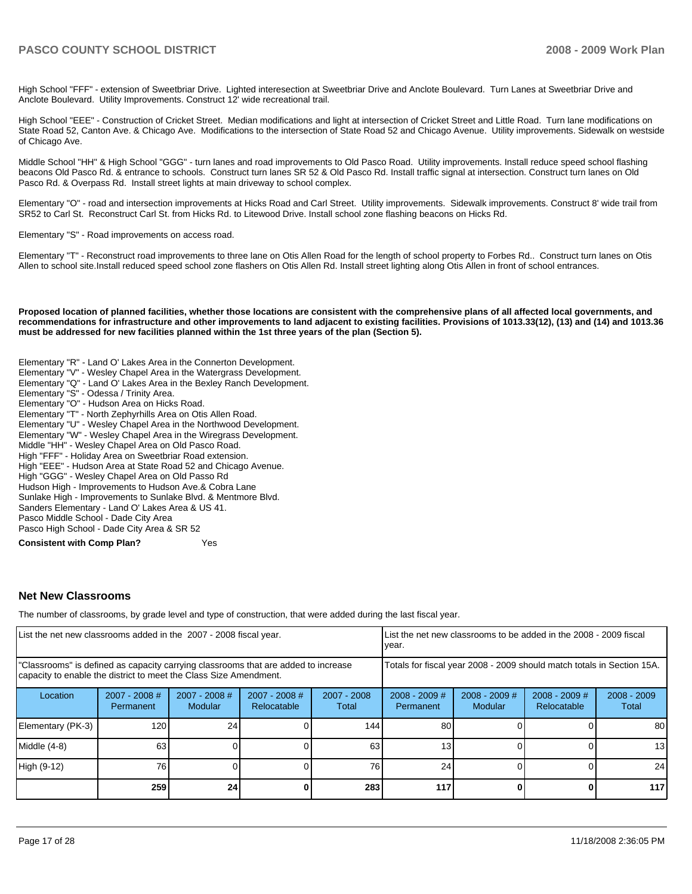High School "FFF" - extension of Sweetbriar Drive. Lighted interesection at Sweetbriar Drive and Anclote Boulevard. Turn Lanes at Sweetbriar Drive and Anclote Boulevard. Utility Improvements. Construct 12' wide recreational trail.

High School "EEE" - Construction of Cricket Street. Median modifications and light at intersection of Cricket Street and Little Road. Turn lane modifications on State Road 52, Canton Ave. & Chicago Ave. Modifications to the intersection of State Road 52 and Chicago Avenue. Utility improvements. Sidewalk on westside of Chicago Ave.

Middle School "HH" & High School "GGG" - turn lanes and road improvements to Old Pasco Road. Utility improvements. Install reduce speed school flashing beacons Old Pasco Rd. & entrance to schools. Construct turn lanes SR 52 & Old Pasco Rd. Install traffic signal at intersection. Construct turn lanes on Old Pasco Rd. & Overpass Rd. Install street lights at main driveway to school complex.

Elementary "O" - road and intersection improvements at Hicks Road and Carl Street. Utility improvements. Sidewalk improvements. Construct 8' wide trail from SR52 to Carl St. Reconstruct Carl St. from Hicks Rd. to Litewood Drive. Install school zone flashing beacons on Hicks Rd.

Elementary "S" - Road improvements on access road.

Elementary "T" - Reconstruct road improvements to three lane on Otis Allen Road for the length of school property to Forbes Rd.. Construct turn lanes on Otis Allen to school site.Install reduced speed school zone flashers on Otis Allen Rd. Install street lighting along Otis Allen in front of school entrances.

**Proposed location of planned facilities, whether those locations are consistent with the comprehensive plans of all affected local governments, and recommendations for infrastructure and other improvements to land adjacent to existing facilities. Provisions of 1013.33(12), (13) and (14) and 1013.36 must be addressed for new facilities planned within the 1st three years of the plan (Section 5).** 

Elementary "R" - Land O' Lakes Area in the Connerton Development. Elementary "V" - Wesley Chapel Area in the Watergrass Development. Elementary "Q" - Land O' Lakes Area in the Bexley Ranch Development. Elementary "S" - Odessa / Trinity Area. Elementary "O" - Hudson Area on Hicks Road. Elementary "T" - North Zephyrhills Area on Otis Allen Road. Elementary "U" - Wesley Chapel Area in the Northwood Development. Elementary "W" - Wesley Chapel Area in the Wiregrass Development.�� Middle "HH" - Wesley Chapel Area on Old Pasco Road. High "FFF" - Holiday Area on Sweetbriar Road extension. High "EEE" - Hudson Area at State Road 52 and Chicago Avenue. High "GGG" - Wesley Chapel Area on Old Passo Rd�� Hudson High - Improvements to Hudson Ave.& Cobra Lane Sunlake High - Improvements to Sunlake Blvd. & Mentmore Blvd.�� Sanders Elementary - Land O' Lakes Area & US 41. Pasco Middle School - Dade City Area Pasco High School - Dade City Area & SR 52

**Consistent with Comp Plan?** Yes

#### **Net New Classrooms**

The number of classrooms, by grade level and type of construction, that were added during the last fiscal year.

| List the net new classrooms added in the 2007 - 2008 fiscal year.                                                                                       |                              |                                   |                                |                        | List the net new classrooms to be added in the 2008 - 2009 fiscal<br>year. |                            |                                |                        |
|---------------------------------------------------------------------------------------------------------------------------------------------------------|------------------------------|-----------------------------------|--------------------------------|------------------------|----------------------------------------------------------------------------|----------------------------|--------------------------------|------------------------|
| "Classrooms" is defined as capacity carrying classrooms that are added to increase<br>capacity to enable the district to meet the Class Size Amendment. |                              |                                   |                                |                        | Totals for fiscal year 2008 - 2009 should match totals in Section 15A.     |                            |                                |                        |
| Location                                                                                                                                                | $2007 - 2008$ #<br>Permanent | $2007 - 2008$ #<br><b>Modular</b> | $2007 - 2008$ #<br>Relocatable | $2007 - 2008$<br>Total | $2008 - 2009$ #<br>Permanent                                               | $2008 - 2009$ #<br>Modular | $2008 - 2009$ #<br>Relocatable | $2008 - 2009$<br>Total |
| Elementary (PK-3)                                                                                                                                       | 120                          | 24                                |                                | 144                    | 80                                                                         |                            |                                | 80                     |
| Middle (4-8)                                                                                                                                            | 63                           |                                   |                                | 63                     | 13                                                                         |                            |                                | 13                     |
| High (9-12)                                                                                                                                             | 76                           |                                   |                                | 76                     | 24                                                                         |                            |                                | 24                     |
|                                                                                                                                                         | 259                          | 24                                |                                | 283                    | 117                                                                        |                            | 0                              | 117                    |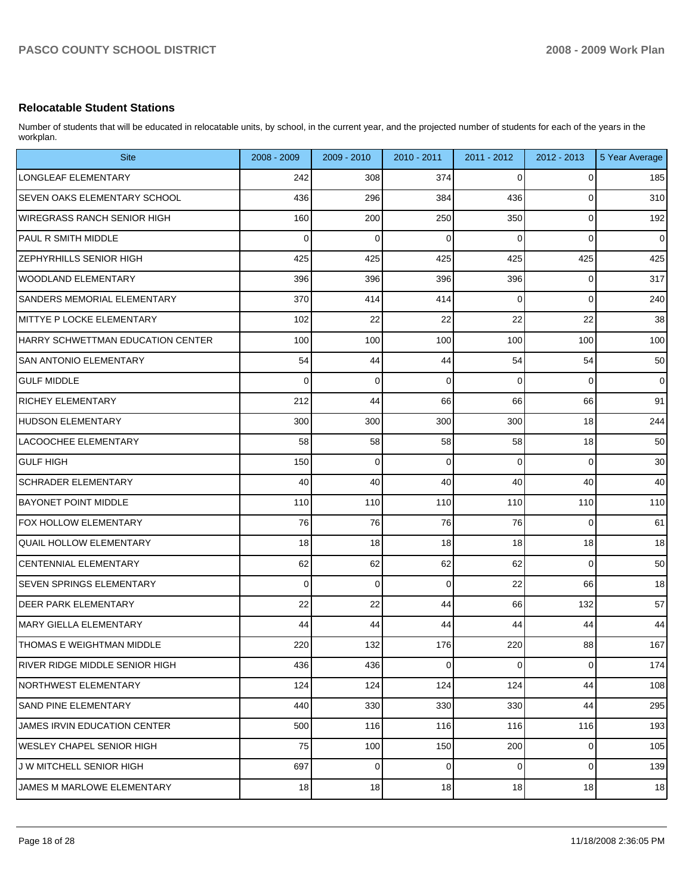## **Relocatable Student Stations**

Number of students that will be educated in relocatable units, by school, in the current year, and the projected number of students for each of the years in the workplan.

| <b>Site</b>                         | 2008 - 2009 | 2009 - 2010 | 2010 - 2011 | $2011 - 2012$ | 2012 - 2013 | 5 Year Average |
|-------------------------------------|-------------|-------------|-------------|---------------|-------------|----------------|
| LONGLEAF ELEMENTARY                 | 242         | 308         | 374         | 0             | 0           | 185            |
| <b>SEVEN OAKS ELEMENTARY SCHOOL</b> | 436         | 296         | 384         | 436           | 0           | 310            |
| WIREGRASS RANCH SENIOR HIGH         | 160         | 200         | 250         | 350           | 0           | 192            |
| PAUL R SMITH MIDDLE                 | 0           | $\mathbf 0$ | $\mathbf 0$ | $\Omega$      | 0           | $\mathbf 0$    |
| <b>ZEPHYRHILLS SENIOR HIGH</b>      | 425         | 425         | 425         | 425           | 425         | 425            |
| WOODLAND ELEMENTARY                 | 396         | 396         | 396         | 396           | 0           | 317            |
| SANDERS MEMORIAL ELEMENTARY         | 370         | 414         | 414         | 0             | $\mathbf 0$ | 240            |
| MITTYE P LOCKE ELEMENTARY           | 102         | 22          | 22          | 22            | 22          | 38             |
| HARRY SCHWETTMAN EDUCATION CENTER   | 100         | 100         | 100         | 100           | 100         | 100            |
| <b>SAN ANTONIO ELEMENTARY</b>       | 54          | 44          | 44          | 54            | 54          | 50             |
| <b>GULF MIDDLE</b>                  | 0           | $\mathbf 0$ | $\mathbf 0$ | 0             | $\mathbf 0$ | $\mathbf 0$    |
| <b>RICHEY ELEMENTARY</b>            | 212         | 44          | 66          | 66            | 66          | 91             |
| HUDSON ELEMENTARY                   | 300         | 300         | 300         | 300           | 18          | 244            |
| LACOOCHEE ELEMENTARY                | 58          | 58          | 58          | 58            | 18          | 50             |
| GULF HIGH                           | 150         | $\mathbf 0$ | $\mathbf 0$ | 0             | $\mathbf 0$ | 30             |
| SCHRADER ELEMENTARY                 | 40          | 40          | 40          | 40            | 40          | 40             |
| <b>BAYONET POINT MIDDLE</b>         | 110         | 110         | 110         | 110           | 110         | 110            |
| <b>FOX HOLLOW ELEMENTARY</b>        | 76          | 76          | 76          | 76            | $\mathbf 0$ | 61             |
| <b>QUAIL HOLLOW ELEMENTARY</b>      | 18          | 18          | 18          | 18            | 18          | 18             |
| <b>CENTENNIAL ELEMENTARY</b>        | 62          | 62          | 62          | 62            | $\mathbf 0$ | 50             |
| <b>SEVEN SPRINGS ELEMENTARY</b>     | 0           | $\mathbf 0$ | $\mathbf 0$ | 22            | 66          | 18             |
| <b>DEER PARK ELEMENTARY</b>         | 22          | 22          | 44          | 66            | 132         | 57             |
| MARY GIELLA ELEMENTARY              | 44          | 44          | 44          | 44            | 44          | 44             |
| THOMAS E WEIGHTMAN MIDDLE           | 220         | 132         | 176         | 220           | 88          | 167            |
| RIVER RIDGE MIDDLE SENIOR HIGH      | 436         | 436         | $\mathbf 0$ | 0             | 0           | 174            |
| NORTHWEST ELEMENTARY                | 124         | 124         | 124         | 124           | 44          | 108            |
| <b>SAND PINE ELEMENTARY</b>         | 440         | 330         | 330         | 330           | 44          | 295            |
| JAMES IRVIN EDUCATION CENTER        | 500         | 116         | 116         | 116           | 116         | 193            |
| WESLEY CHAPEL SENIOR HIGH           | 75          | 100         | 150         | 200           | 0           | 105            |
| J W MITCHELL SENIOR HIGH            | 697         | $\mathbf 0$ | $\mathbf 0$ | 0             | 0           | 139            |
| JAMES M MARLOWE ELEMENTARY          | $18\,$      | 18          | 18          | 18            | 18          | 18             |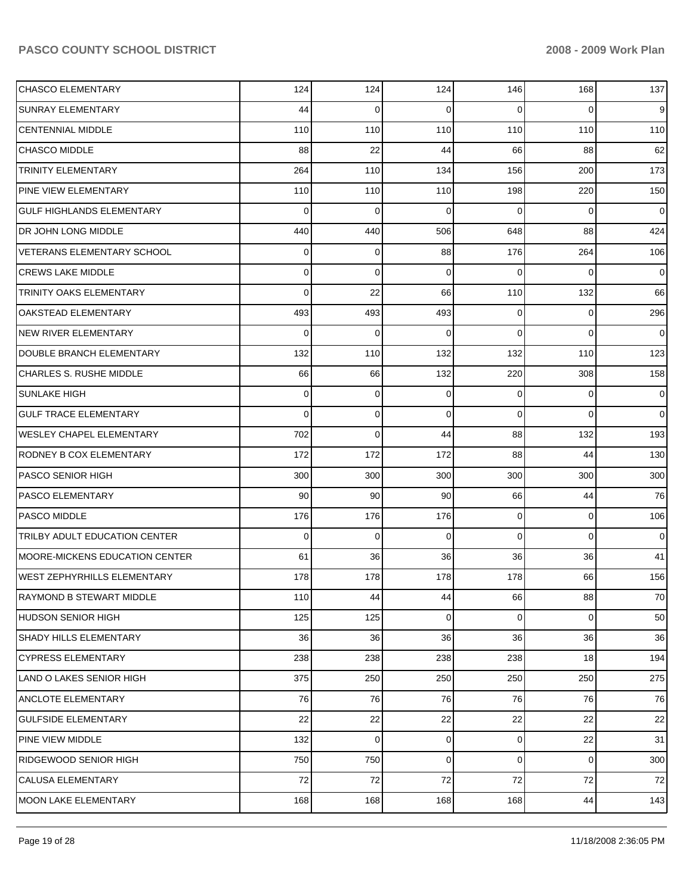# PASCO COUNTY SCHOOL DISTRICT **2008 - 2009 Work Plan**

| <b>CHASCO ELEMENTARY</b>              | 124 | 124         | 124 | 146            | 168      | 137         |
|---------------------------------------|-----|-------------|-----|----------------|----------|-------------|
| <b>SUNRAY ELEMENTARY</b>              | 44  | 0           | 0   | 0              | $\Omega$ | 9           |
| <b>CENTENNIAL MIDDLE</b>              | 110 | 110         | 110 | 110            | 110      | 110         |
| <b>CHASCO MIDDLE</b>                  | 88  | 22          | 44  | 66             | 88       | 62          |
| <b>TRINITY ELEMENTARY</b>             | 264 | 110         | 134 | 156            | 200      | 173         |
| PINE VIEW ELEMENTARY                  | 110 | 110         | 110 | 198            | 220      | 150         |
| <b>GULF HIGHLANDS ELEMENTARY</b>      | 0   | 0           | 0   | 0              | 0        | 0           |
| DR JOHN LONG MIDDLE                   | 440 | 440         | 506 | 648            | 88       | 424         |
| <b>VETERANS ELEMENTARY SCHOOL</b>     | 0   | 0           | 88  | 176            | 264      | 106         |
| <b>CREWS LAKE MIDDLE</b>              | 0   | 0           | 0   | 0              | 0        | 0           |
| <b>TRINITY OAKS ELEMENTARY</b>        | 0   | 22          | 66  | 110            | 132      | 66          |
| <b>OAKSTEAD ELEMENTARY</b>            | 493 | 493         | 493 | 0              | 0        | 296         |
| <b>NEW RIVER ELEMENTARY</b>           | 0   | 0           | 0   | 0              | $\Omega$ | 0           |
| DOUBLE BRANCH ELEMENTARY              | 132 | 110         | 132 | 132            | 110      | 123         |
| <b>CHARLES S. RUSHE MIDDLE</b>        | 66  | 66          | 132 | 220            | 308      | 158         |
| <b>SUNLAKE HIGH</b>                   | 0   | 0           | 0   | 0              | 0        | 0           |
| <b>GULF TRACE ELEMENTARY</b>          | 0   | 0           | 0   | 0              | $\Omega$ | $\mathbf 0$ |
| <b>WESLEY CHAPEL ELEMENTARY</b>       | 702 | 0           | 44  | 88             | 132      | 193         |
| <b>RODNEY B COX ELEMENTARY</b>        | 172 | 172         | 172 | 88             | 44       | 130         |
| <b>PASCO SENIOR HIGH</b>              | 300 | 300         | 300 | 300            | 300      | 300         |
| <b>PASCO ELEMENTARY</b>               | 90  | 90          | 90  | 66             | 44       | 76          |
| <b>PASCO MIDDLE</b>                   | 176 | 176         | 176 | 0              | 0        | 106         |
| <b>TRILBY ADULT EDUCATION CENTER</b>  | 0   | 0           | 0   | 0              | 0        | 0           |
| <b>MOORE-MICKENS EDUCATION CENTER</b> | 61  | 36          | 36  | 36             | 36       | 41          |
| <b>WEST ZEPHYRHILLS ELEMENTARY</b>    | 178 | 178         | 178 | 178            | 66       | 156         |
| RAYMOND B STEWART MIDDLE              | 110 | 44          | 44  | 66             | 88       | 70          |
| <b>HUDSON SENIOR HIGH</b>             | 125 | 125         | 0   | $\overline{0}$ | 0        | 50          |
| SHADY HILLS ELEMENTARY                | 36  | 36          | 36  | 36             | 36       | 36          |
| <b>CYPRESS ELEMENTARY</b>             | 238 | 238         | 238 | 238            | 18       | 194         |
| LAND O LAKES SENIOR HIGH              | 375 | 250         | 250 | 250            | 250      | 275         |
| <b>ANCLOTE ELEMENTARY</b>             | 76  | 76          | 76  | 76             | 76       | 76          |
| <b>GULFSIDE ELEMENTARY</b>            | 22  | 22          | 22  | 22             | 22       | 22          |
| PINE VIEW MIDDLE                      | 132 | $\mathbf 0$ | 0   | $\overline{0}$ | 22       | 31          |
| <b>RIDGEWOOD SENIOR HIGH</b>          | 750 | 750         | 0   | $\overline{0}$ | 0        | 300         |
| <b>CALUSA ELEMENTARY</b>              | 72  | 72          | 72  | 72             | 72       | 72          |
| <b>MOON LAKE ELEMENTARY</b>           | 168 | 168         | 168 | 168            | 44       | 143         |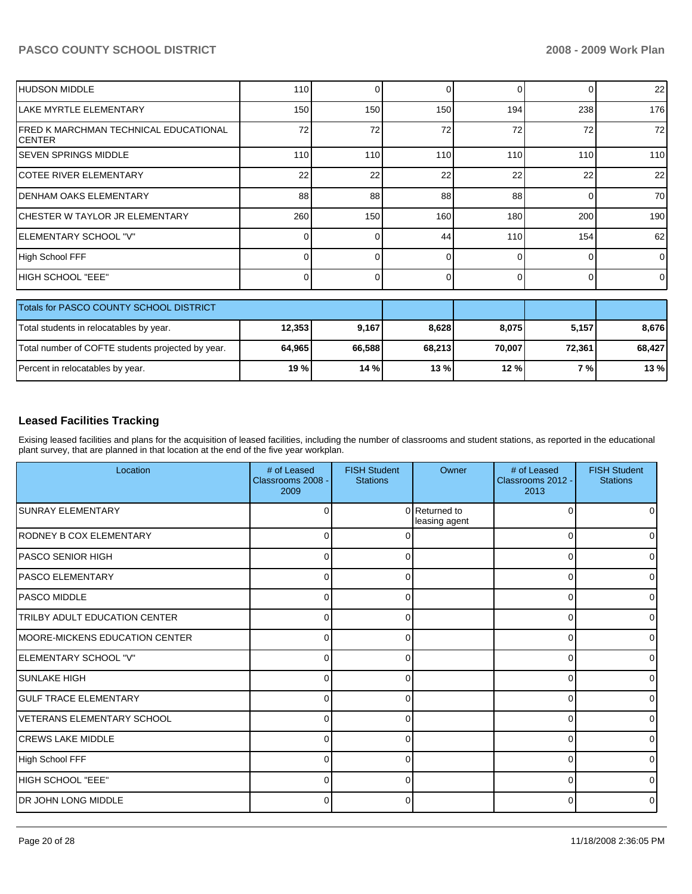# PASCO COUNTY SCHOOL DISTRICT **2008 - 2009 Work Plan**

| <b>HUDSON MIDDLE</b>                                    | 110      | ∩      | 0        | 0        | 0      | 22             |
|---------------------------------------------------------|----------|--------|----------|----------|--------|----------------|
| LAKE MYRTLE ELEMENTARY                                  | 150      | 150    | 150      | 194      | 238    | 176            |
| IFRED K MARCHMAN TECHNICAL EDUCATIONAL<br><b>CENTER</b> | 72       | 72     | 72       | 72       | 72     | 72             |
| <b>ISEVEN SPRINGS MIDDLE</b>                            | 110      | 110    | 110      | 110      | 110    | 110            |
| <b>ICOTEE RIVER ELEMENTARY</b>                          | 22       | 22     | 22       | 22       | 22     | 22             |
| IDENHAM OAKS ELEMENTARY                                 | 88       | 88     | 88       | 88       | 0      | 70             |
| ICHESTER W TAYLOR JR ELEMENTARY                         | 260      | 150    | 160      | 180      | 200    | 190            |
| IELEMENTARY SCHOOL "V"                                  | 0        |        | 44       | 110      | 154    | 62             |
| High School FFF                                         | $\Omega$ | O      | $\Omega$ | $\Omega$ | 0      | $\Omega$       |
| IHIGH SCHOOL "EEE"                                      | $\Omega$ | 0      | $\Omega$ | $\Omega$ | 0      | $\overline{0}$ |
| Totals for PASCO COUNTY SCHOOL DISTRICT                 |          |        |          |          |        |                |
| Total students in relocatables by year.                 | 12,353   | 9,167  | 8,628    | 8,075    | 5,157  | 8,676          |
| Total number of COFTE students projected by year.       | 64,965   | 66,588 | 68,213   | 70,007   | 72,361 | 68,427         |
| Percent in relocatables by year.                        | 19 %     | 14 %   | 13 %     | 12 %     | 7 %    | 13 %           |

### **Leased Facilities Tracking**

Exising leased facilities and plans for the acquisition of leased facilities, including the number of classrooms and student stations, as reported in the educational plant survey, that are planned in that location at the end of the five year workplan.

| Location                               | # of Leased<br>Classrooms 2008 -<br>2009 | <b>FISH Student</b><br><b>Stations</b> | Owner                          | # of Leased<br>Classrooms 2012 -<br>2013 | <b>FISH Student</b><br><b>Stations</b> |
|----------------------------------------|------------------------------------------|----------------------------------------|--------------------------------|------------------------------------------|----------------------------------------|
| <b>SUNRAY ELEMENTARY</b>               | 0                                        |                                        | 0 Returned to<br>leasing agent | $\Omega$                                 |                                        |
| RODNEY B COX ELEMENTARY                | 0                                        |                                        |                                | $\Omega$                                 |                                        |
| IPASCO SENIOR HIGH                     | 0                                        | 0                                      |                                | $\Omega$                                 |                                        |
| <b>IPASCO ELEMENTARY</b>               | 0                                        | 0                                      |                                | $\Omega$                                 |                                        |
| <b>PASCO MIDDLE</b>                    | $\Omega$                                 | <sup>0</sup>                           |                                | $\Omega$                                 |                                        |
| <b>TRILBY ADULT EDUCATION CENTER</b>   | $\Omega$                                 |                                        |                                | $\Omega$                                 |                                        |
| <b>IMOORE-MICKENS EDUCATION CENTER</b> | 0                                        |                                        |                                | $\Omega$                                 |                                        |
| ELEMENTARY SCHOOL "V"                  | 0                                        | 0                                      |                                | $\mathbf 0$                              |                                        |
| <b>SUNLAKE HIGH</b>                    | 0                                        | $\Omega$                               |                                | $\Omega$                                 |                                        |
| <b>IGULF TRACE ELEMENTARY</b>          | $\Omega$                                 | $\Omega$                               |                                | $\Omega$                                 |                                        |
| VETERANS ELEMENTARY SCHOOL             | $\Omega$                                 | $\Omega$                               |                                | $\Omega$                                 |                                        |
| <b>CREWS LAKE MIDDLE</b>               | $\Omega$                                 |                                        |                                | $\Omega$                                 |                                        |
| High School FFF                        | 0                                        |                                        |                                | $\Omega$                                 |                                        |
| HIGH SCHOOL "EEE"                      | 0                                        | 0                                      |                                | $\mathbf 0$                              |                                        |
| <b>IDR JOHN LONG MIDDLE</b>            | 0                                        | $\Omega$                               |                                | $\Omega$                                 |                                        |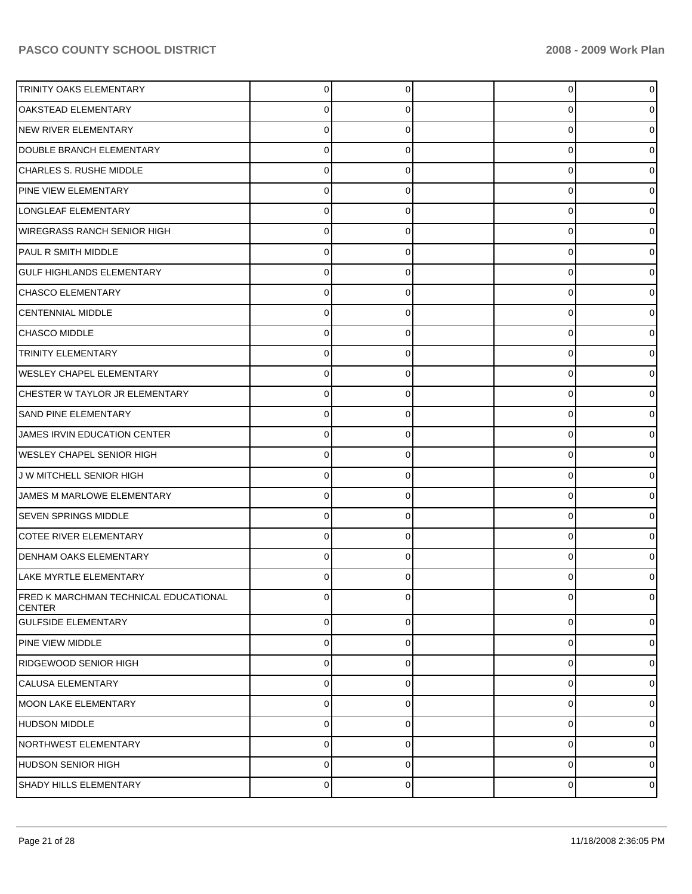| TRINITY OAKS ELEMENTARY                                | 0           |          | $\overline{0}$ | 0 |
|--------------------------------------------------------|-------------|----------|----------------|---|
| <b>OAKSTEAD ELEMENTARY</b>                             |             |          | 0              |   |
| NEW RIVER ELEMENTARY                                   | U           |          | 0              |   |
| DOUBLE BRANCH ELEMENTARY                               | 0           | O        | 0              |   |
| CHARLES S. RUSHE MIDDLE                                | U           |          | 0              |   |
| PINE VIEW ELEMENTARY                                   | 0           | O        | 0              |   |
| LONGLEAF ELEMENTARY                                    | O           |          | 0              |   |
| <b>WIREGRASS RANCH SENIOR HIGH</b>                     | 0           | O        | 0              |   |
| PAUL R SMITH MIDDLE                                    | U           |          | 0              |   |
| <b>GULF HIGHLANDS ELEMENTARY</b>                       | 0           | O        | 0              |   |
| CHASCO ELEMENTARY                                      | U           |          | 0              |   |
| <b>CENTENNIAL MIDDLE</b>                               | 0           | O        | 0              |   |
| CHASCO MIDDLE                                          | U           |          | 0              |   |
| TRINITY ELEMENTARY                                     | 0           | O        | 0              |   |
| <b>WESLEY CHAPEL ELEMENTARY</b>                        | U           |          | 0              |   |
| CHESTER W TAYLOR JR ELEMENTARY                         | 0           | O        | 0              |   |
| <b>SAND PINE ELEMENTARY</b>                            |             |          | 0              |   |
| JAMES IRVIN EDUCATION CENTER                           | 0           | O        | 0              |   |
| <b>WESLEY CHAPEL SENIOR HIGH</b>                       | O           |          | 0              |   |
| J W MITCHELL SENIOR HIGH                               | 0           | O        | 0              |   |
| JAMES M MARLOWE ELEMENTARY                             | U           |          | 0              |   |
| <b>SEVEN SPRINGS MIDDLE</b>                            | 0           |          | 0              |   |
| COTEE RIVER ELEMENTARY                                 |             |          | 0              |   |
| DENHAM OAKS ELEMENTARY                                 | 0           |          | 0              |   |
| LAKE MYRTLE ELEMENTARY                                 | 0           |          | 0              |   |
| FRED K MARCHMAN TECHNICAL EDUCATIONAL<br><b>CENTER</b> | $\Omega$    | U        | $\mathbf 0$    | 0 |
| <b>GULFSIDE ELEMENTARY</b>                             | $\mathbf 0$ | $\Omega$ | $\overline{0}$ | 0 |
| <b>PINE VIEW MIDDLE</b>                                | $\mathbf 0$ | 0        | $\overline{0}$ | 0 |
| RIDGEWOOD SENIOR HIGH                                  | $\mathbf 0$ | 0        | $\overline{0}$ | 0 |
| <b>ICALUSA ELEMENTARY</b>                              | $\mathbf 0$ | 0        | $\overline{0}$ | 0 |
| MOON LAKE ELEMENTARY                                   | $\mathbf 0$ | 0        | $\overline{0}$ | 0 |
| HUDSON MIDDLE                                          | 0           | 0        | $\mathbf 0$    | 0 |
| NORTHWEST ELEMENTARY                                   | $\mathbf 0$ | 0        | $\overline{0}$ | 0 |
| HUDSON SENIOR HIGH                                     | $\mathbf 0$ | 0        | $\overline{0}$ | 0 |
| SHADY HILLS ELEMENTARY                                 | 0           | 0        | $\overline{0}$ | 0 |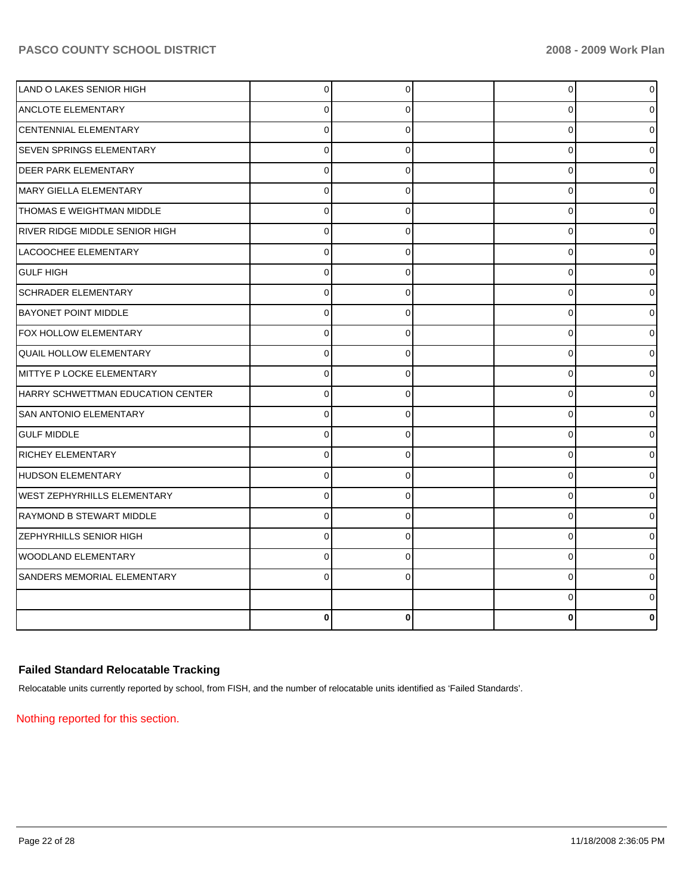| <b>LAND O LAKES SENIOR HIGH</b>    | 0           | 0        | $\overline{0}$ | 0 |
|------------------------------------|-------------|----------|----------------|---|
| <b>ANCLOTE ELEMENTARY</b>          | 0           | 0        | 0              |   |
| <b>CENTENNIAL ELEMENTARY</b>       | 0           | $\Omega$ | $\mathbf 0$    |   |
| <b>SEVEN SPRINGS ELEMENTARY</b>    | 0           | 0        | $\mathbf 0$    |   |
| <b>DEER PARK ELEMENTARY</b>        | 0           | 0        | $\pmb{0}$      |   |
| IMARY GIELLA ELEMENTARY            | 0           | $\Omega$ | $\mathbf 0$    |   |
| THOMAS E WEIGHTMAN MIDDLE          | $\Omega$    | $\Omega$ | $\mathbf 0$    |   |
| RIVER RIDGE MIDDLE SENIOR HIGH     | 0           | 0        | $\mathbf 0$    |   |
| LACOOCHEE ELEMENTARY               | $\Omega$    | 0        | $\Omega$       |   |
| <b>GULF HIGH</b>                   | 0           | 0        | $\mathbf 0$    |   |
| <b>SCHRADER ELEMENTARY</b>         | $\mathbf 0$ | $\Omega$ | $\pmb{0}$      |   |
| <b>BAYONET POINT MIDDLE</b>        | 0           | 0        | $\pmb{0}$      |   |
| FOX HOLLOW ELEMENTARY              | 0           | $\Omega$ | $\mathbf 0$    | 0 |
| QUAIL HOLLOW ELEMENTARY            | 0           | 0        | $\mathbf 0$    |   |
| MITTYE P LOCKE ELEMENTARY          | 0           | 0        | 0              |   |
| HARRY SCHWETTMAN EDUCATION CENTER  | $\Omega$    | $\Omega$ | 0              |   |
| <b>SAN ANTONIO ELEMENTARY</b>      | $\Omega$    | 0        | 0              |   |
| <b>GULF MIDDLE</b>                 | $\mathbf 0$ | 0        | $\mathbf 0$    |   |
| <b>RICHEY ELEMENTARY</b>           | 0           | 0        | $\mathbf 0$    |   |
| HUDSON ELEMENTARY                  | $\Omega$    | $\Omega$ | $\mathbf 0$    |   |
| <b>WEST ZEPHYRHILLS ELEMENTARY</b> | 0           | 0        | $\mathbf 0$    |   |
| RAYMOND B STEWART MIDDLE           | $\mathbf 0$ | $\Omega$ | $\mathbf{0}$   | 0 |
| <b>ZEPHYRHILLS SENIOR HIGH</b>     | 0           | $\Omega$ | $\pmb{0}$      |   |
| <b>WOODLAND ELEMENTARY</b>         | $\Omega$    | $\Omega$ | $\mathbf 0$    |   |
| SANDERS MEMORIAL ELEMENTARY        | 0           | 0        | 0              |   |
|                                    |             |          | $\pmb{0}$      | o |
|                                    | $\bf{0}$    | $\bf{0}$ | $\Omega$       | 0 |

# **Failed Standard Relocatable Tracking**

Relocatable units currently reported by school, from FISH, and the number of relocatable units identified as 'Failed Standards'.

Nothing reported for this section.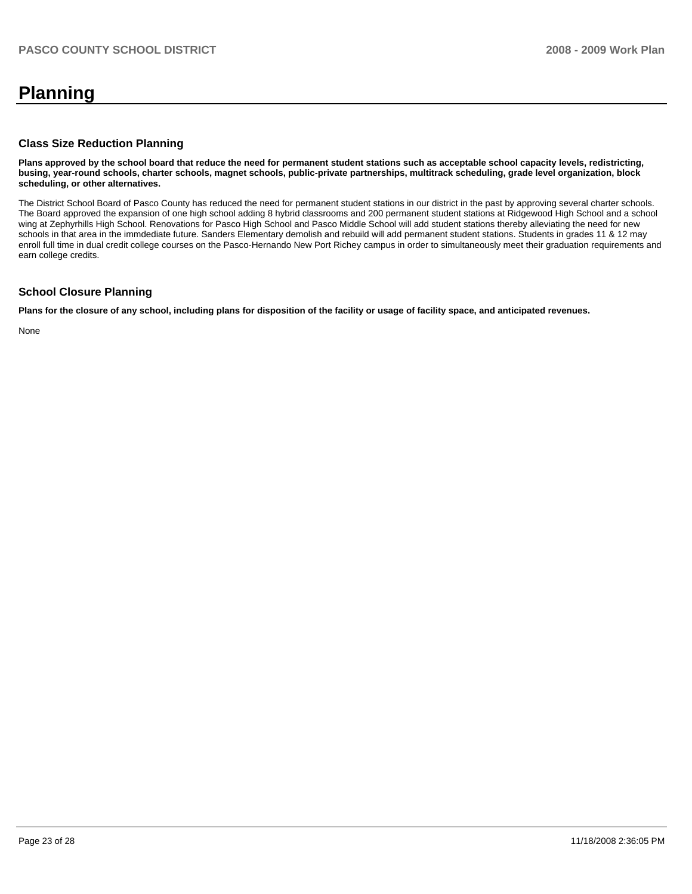# **Planning**

#### **Class Size Reduction Planning**

**Plans approved by the school board that reduce the need for permanent student stations such as acceptable school capacity levels, redistricting, busing, year-round schools, charter schools, magnet schools, public-private partnerships, multitrack scheduling, grade level organization, block scheduling, or other alternatives.** 

The District School Board of Pasco County has reduced the need for permanent student stations in our district in the past by approving several charter schools. The Board approved the expansion of one high school adding 8 hybrid classrooms and 200 permanent student stations at Ridgewood High School and a school wing at Zephyrhills High School. Renovations for Pasco High School and Pasco Middle School will add student stations thereby alleviating the need for new schools in that area in the immdediate future. Sanders Elementary demolish and rebuild will add permanent student stations. Students in grades 11 & 12 may enroll full time in dual credit college courses on the Pasco-Hernando New Port Richey campus in order to simultaneously meet their graduation requirements and earn college credits.

### **School Closure Planning**

**Plans for the closure of any school, including plans for disposition of the facility or usage of facility space, and anticipated revenues.** 

None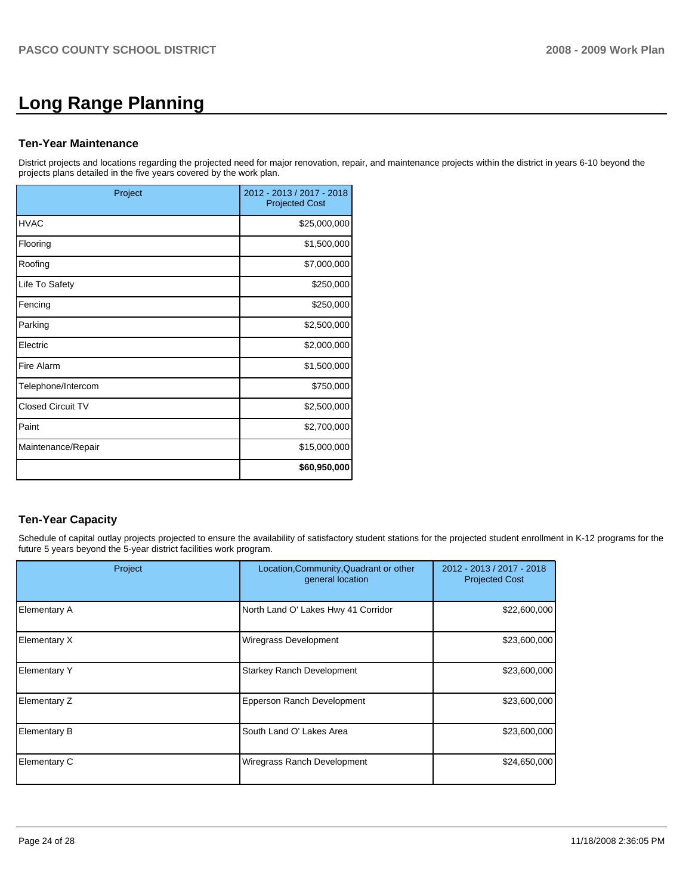# **Long Range Planning**

#### **Ten-Year Maintenance**

District projects and locations regarding the projected need for major renovation, repair, and maintenance projects within the district in years 6-10 beyond the projects plans detailed in the five years covered by the work plan.

| Project                  | 2012 - 2013 / 2017 - 2018<br><b>Projected Cost</b> |
|--------------------------|----------------------------------------------------|
| <b>HVAC</b>              | \$25,000,000                                       |
| Flooring                 | \$1,500,000                                        |
| Roofing                  | \$7,000,000                                        |
| Life To Safety           | \$250,000                                          |
| Fencing                  | \$250,000                                          |
| Parking                  | \$2,500,000                                        |
| Electric                 | \$2,000,000                                        |
| Fire Alarm               | \$1,500,000                                        |
| Telephone/Intercom       | \$750,000                                          |
| <b>Closed Circuit TV</b> | \$2,500,000                                        |
| Paint                    | \$2,700,000                                        |
| Maintenance/Repair       | \$15,000,000                                       |
|                          | \$60,950,000                                       |

# **Ten-Year Capacity**

Schedule of capital outlay projects projected to ensure the availability of satisfactory student stations for the projected student enrollment in K-12 programs for the future 5 years beyond the 5-year district facilities work program.

| Project             | Location, Community, Quadrant or other<br>general location | 2012 - 2013 / 2017 - 2018<br><b>Projected Cost</b> |
|---------------------|------------------------------------------------------------|----------------------------------------------------|
| <b>Elementary A</b> | North Land O' Lakes Hwy 41 Corridor                        | \$22,600,000                                       |
| Elementary X        | Wiregrass Development                                      | \$23,600,000                                       |
| <b>Elementary Y</b> | <b>Starkey Ranch Development</b>                           | \$23,600,000                                       |
| Elementary Z        | Epperson Ranch Development                                 | \$23,600,000                                       |
| <b>Elementary B</b> | South Land O' Lakes Area                                   | \$23,600,000                                       |
| Elementary C        | Wiregrass Ranch Development                                | \$24,650,000                                       |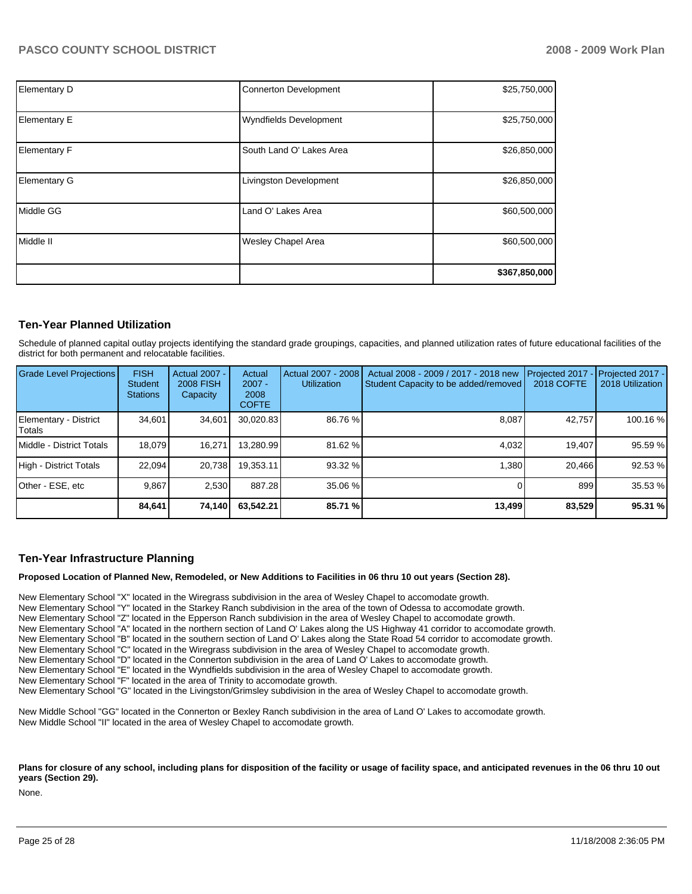| Elementary D        | <b>Connerton Development</b>  | \$25,750,000  |
|---------------------|-------------------------------|---------------|
| <b>Elementary E</b> | <b>Wyndfields Development</b> | \$25,750,000  |
| <b>Elementary F</b> | South Land O' Lakes Area      | \$26,850,000  |
| <b>Elementary G</b> | Livingston Development        | \$26,850,000  |
| Middle GG           | Land O' Lakes Area            | \$60,500,000  |
| Middle II           | <b>Wesley Chapel Area</b>     | \$60,500,000  |
|                     |                               | \$367,850,000 |

#### **Ten-Year Planned Utilization**

Schedule of planned capital outlay projects identifying the standard grade groupings, capacities, and planned utilization rates of future educational facilities of the district for both permanent and relocatable facilities.

| <b>Grade Level Projections</b>    | <b>FISH</b><br>Student<br><b>Stations</b> | <b>Actual 2007 -</b><br><b>2008 FISH</b><br>Capacity | Actual<br>$2007 -$<br>2008<br><b>COFTE</b> | Actual 2007 - 2008<br><b>Utilization</b> | Actual 2008 - 2009 / 2017 - 2018 new<br>Student Capacity to be added/removed | Projected 2017<br><b>2018 COFTE</b> | Projected 2017 -<br>2018 Utilization |
|-----------------------------------|-------------------------------------------|------------------------------------------------------|--------------------------------------------|------------------------------------------|------------------------------------------------------------------------------|-------------------------------------|--------------------------------------|
| Elementary - District<br>l Totals | 34.601                                    | 34.601                                               | 30,020.83                                  | 86.76 %                                  | 8.087                                                                        | 42,757                              | 100.16 %                             |
| <b>IMiddle - District Totals</b>  | 18.079                                    | 16.271                                               | 13.280.99                                  | 81.62 %                                  | 4.032                                                                        | 19.407                              | 95.59 %                              |
| High - District Totals            | 22.094                                    | 20.738                                               | 19.353.11                                  | 93.32 %                                  | 1.380                                                                        | 20.466                              | 92.53 %                              |
| Other - ESE, etc                  | 9.867                                     | 2.530                                                | 887.28                                     | 35.06 %                                  |                                                                              | 899                                 | 35.53 %                              |
|                                   | 84,641                                    | 74,140                                               | 63.542.21                                  | 85.71 %                                  | 13,499                                                                       | 83,529                              | 95.31 %                              |

#### **Ten-Year Infrastructure Planning**

**Proposed Location of Planned New, Remodeled, or New Additions to Facilities in 06 thru 10 out years (Section 28).** 

New Elementary School "X" located in the Wiregrass subdivision in the area of Wesley Chapel to accomodate growth.

New Elementary School "Y" located in the Starkey Ranch subdivision in the area of the town of Odessa to accomodate growth.

New Elementary School "Z" located in the Epperson Ranch subdivision in the area of Wesley Chapel to accomodate growth.

New Elementary School "A" located in the northern section of Land O' Lakes along the US Highway 41 corridor to accomodate growth.

New Elementary School "B" located in the southern section of Land O' Lakes along the State Road 54 corridor to accomodate growth.

New Elementary School "C" located in the Wiregrass subdivision in the area of Wesley Chapel to accomodate growth.

New Elementary School "D" located in the Connerton subdivision in the area of Land O' Lakes to accomodate growth.

New Elementary School "E" located in the Wyndfields subdivision in the area of Wesley Chapel to accomodate growth.

New Elementary School "F" located in the area of Trinity to accomodate growth.

New Elementary School "G" located in the Livingston/Grimsley subdivision in the area of Wesley Chapel to accomodate growth.

New Middle School "GG" located in the Connerton or Bexley Ranch subdivision in the area of Land O' Lakes to accomodate growth. New Middle School "II" located in the area of Wesley Chapel to accomodate growth.

Plans for closure of any school, including plans for disposition of the facility or usage of facility space, and anticipated revenues in the 06 thru 10 out **years (Section 29).** 

None.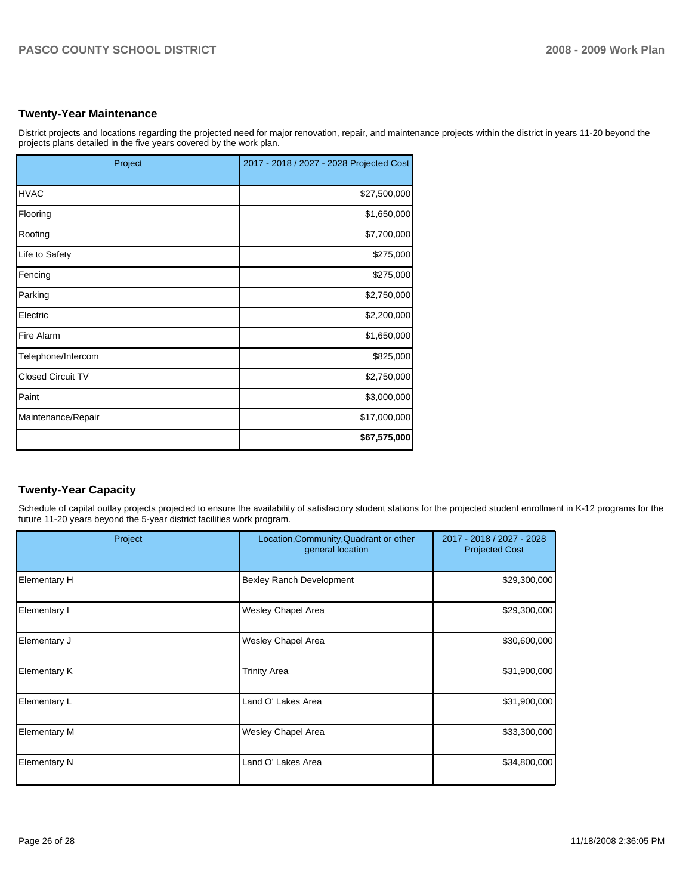#### **Twenty-Year Maintenance**

District projects and locations regarding the projected need for major renovation, repair, and maintenance projects within the district in years 11-20 beyond the projects plans detailed in the five years covered by the work plan.

| Project                  | 2017 - 2018 / 2027 - 2028 Projected Cost |
|--------------------------|------------------------------------------|
| <b>HVAC</b>              | \$27,500,000                             |
| Flooring                 | \$1,650,000                              |
| Roofing                  | \$7,700,000                              |
| Life to Safety           | \$275,000                                |
| Fencing                  | \$275,000                                |
| Parking                  | \$2,750,000                              |
| Electric                 | \$2,200,000                              |
| Fire Alarm               | \$1,650,000                              |
| Telephone/Intercom       | \$825,000                                |
| <b>Closed Circuit TV</b> | \$2,750,000                              |
| Paint                    | \$3,000,000                              |
| Maintenance/Repair       | \$17,000,000                             |
|                          | \$67,575,000                             |

## **Twenty-Year Capacity**

Schedule of capital outlay projects projected to ensure the availability of satisfactory student stations for the projected student enrollment in K-12 programs for the future 11-20 years beyond the 5-year district facilities work program.

| Project             | Location, Community, Quadrant or other<br>general location | 2017 - 2018 / 2027 - 2028<br><b>Projected Cost</b> |
|---------------------|------------------------------------------------------------|----------------------------------------------------|
| Elementary H        | <b>Bexley Ranch Development</b>                            | \$29,300,000                                       |
| Elementary I        | Wesley Chapel Area                                         | \$29,300,000                                       |
| Elementary J        | Wesley Chapel Area                                         | \$30,600,000                                       |
| Elementary K        | <b>Trinity Area</b>                                        | \$31,900,000                                       |
| Elementary L        | Land O' Lakes Area                                         | \$31,900,000                                       |
| <b>Elementary M</b> | <b>Wesley Chapel Area</b>                                  | \$33,300,000                                       |
| <b>Elementary N</b> | Land O' Lakes Area                                         | \$34,800,000                                       |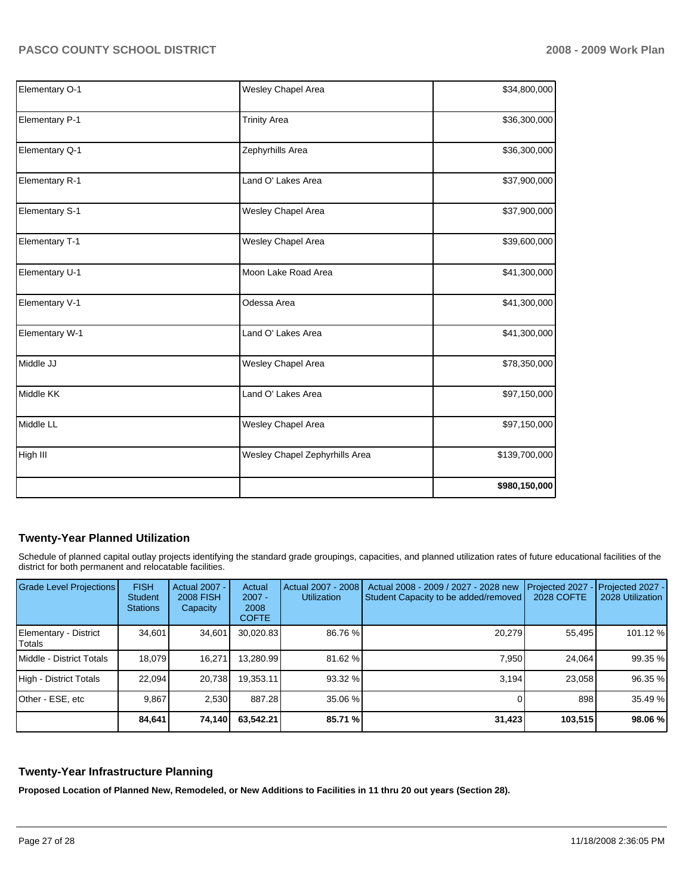| Elementary O-1 | Wesley Chapel Area             | \$34,800,000  |
|----------------|--------------------------------|---------------|
| Elementary P-1 | <b>Trinity Area</b>            | \$36,300,000  |
| Elementary Q-1 | Zephyrhills Area               | \$36,300,000  |
| Elementary R-1 | Land O' Lakes Area             | \$37,900,000  |
| Elementary S-1 | Wesley Chapel Area             | \$37,900,000  |
| Elementary T-1 | Wesley Chapel Area             | \$39,600,000  |
| Elementary U-1 | Moon Lake Road Area            | \$41,300,000  |
| Elementary V-1 | Odessa Area                    | \$41,300,000  |
| Elementary W-1 | Land O' Lakes Area             | \$41,300,000  |
| Middle JJ      | Wesley Chapel Area             | \$78,350,000  |
| Middle KK      | Land O' Lakes Area             | \$97,150,000  |
| Middle LL      | Wesley Chapel Area             | \$97,150,000  |
| High III       | Wesley Chapel Zephyrhills Area | \$139,700,000 |
|                |                                | \$980,150,000 |

# **Twenty-Year Planned Utilization**

Schedule of planned capital outlay projects identifying the standard grade groupings, capacities, and planned utilization rates of future educational facilities of the district for both permanent and relocatable facilities.

| <b>Grade Level Projections</b>    | <b>FISH</b><br><b>Student</b><br><b>Stations</b> | <b>Actual 2007 -</b><br><b>2008 FISH</b><br>Capacity | Actual<br>$2007 -$<br>2008<br><b>COFTE</b> | Actual 2007 - 2008<br><b>Utilization</b> | Actual 2008 - 2009 / 2027 - 2028 new<br>Student Capacity to be added/removed | Projected 2027<br>2028 COFTE | Projected 2027 -<br>2028 Utilization |
|-----------------------------------|--------------------------------------------------|------------------------------------------------------|--------------------------------------------|------------------------------------------|------------------------------------------------------------------------------|------------------------------|--------------------------------------|
| Elementary - District<br>l Totals | 34.601                                           | 34,601                                               | 30,020.83                                  | 86.76 %                                  | 20,279                                                                       | 55,495                       | 101.12 %                             |
| Middle - District Totals          | 18.079                                           | 16.271                                               | 13.280.99                                  | 81.62 %                                  | 7.950                                                                        | 24.064                       | 99.35 %                              |
| High - District Totals            | 22.094                                           | 20,738                                               | 19.353.11                                  | 93.32 %                                  | 3.194                                                                        | 23.058                       | 96.35 %                              |
| lOther - ESE. etc                 | 9.867                                            | 2.530                                                | 887.28                                     | 35.06 %                                  |                                                                              | 898                          | 35.49 %                              |
|                                   | 84,641                                           | 74,140                                               | 63,542.21                                  | 85.71 %                                  | 31,423                                                                       | 103,515                      | 98.06 %                              |

#### **Twenty-Year Infrastructure Planning**

**Proposed Location of Planned New, Remodeled, or New Additions to Facilities in 11 thru 20 out years (Section 28).**